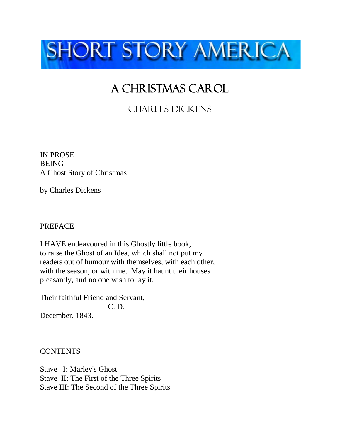

## A CHRISTMAS CAROL

Charles dickens

IN PROSE **BEING** A Ghost Story of Christmas

by Charles Dickens

PREFACE

I HAVE endeavoured in this Ghostly little book, to raise the Ghost of an Idea, which shall not put my readers out of humour with themselves, with each other, with the season, or with me. May it haunt their houses pleasantly, and no one wish to lay it.

Their faithful Friend and Servant, C. D. December, 1843.

**CONTENTS** 

Stave I: Marley's Ghost Stave II: The First of the Three Spirits Stave III: The Second of the Three Spirits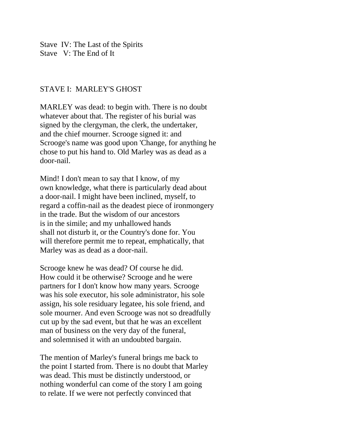Stave IV: The Last of the Spirits Stave V: The End of It

## STAVE I: MARLEY'S GHOST

MARLEY was dead: to begin with. There is no doubt whatever about that. The register of his burial was signed by the clergyman, the clerk, the undertaker, and the chief mourner. Scrooge signed it: and Scrooge's name was good upon 'Change, for anything he chose to put his hand to. Old Marley was as dead as a door-nail.

Mind! I don't mean to say that I know, of my own knowledge, what there is particularly dead about a door-nail. I might have been inclined, myself, to regard a coffin-nail as the deadest piece of ironmongery in the trade. But the wisdom of our ancestors is in the simile; and my unhallowed hands shall not disturb it, or the Country's done for. You will therefore permit me to repeat, emphatically, that Marley was as dead as a door-nail.

Scrooge knew he was dead? Of course he did. How could it be otherwise? Scrooge and he were partners for I don't know how many years. Scrooge was his sole executor, his sole administrator, his sole assign, his sole residuary legatee, his sole friend, and sole mourner. And even Scrooge was not so dreadfully cut up by the sad event, but that he was an excellent man of business on the very day of the funeral, and solemnised it with an undoubted bargain.

The mention of Marley's funeral brings me back to the point I started from. There is no doubt that Marley was dead. This must be distinctly understood, or nothing wonderful can come of the story I am going to relate. If we were not perfectly convinced that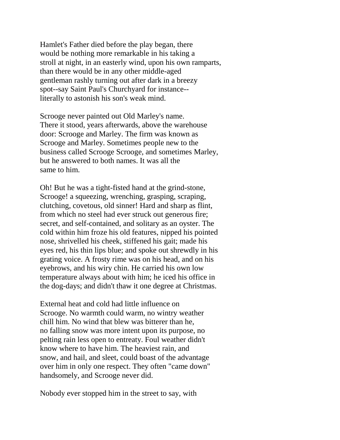Hamlet's Father died before the play began, there would be nothing more remarkable in his taking a stroll at night, in an easterly wind, upon his own ramparts, than there would be in any other middle-aged gentleman rashly turning out after dark in a breezy spot--say Saint Paul's Churchyard for instance- literally to astonish his son's weak mind.

Scrooge never painted out Old Marley's name. There it stood, years afterwards, above the warehouse door: Scrooge and Marley. The firm was known as Scrooge and Marley. Sometimes people new to the business called Scrooge Scrooge, and sometimes Marley, but he answered to both names. It was all the same to him.

Oh! But he was a tight-fisted hand at the grind-stone, Scrooge! a squeezing, wrenching, grasping, scraping, clutching, covetous, old sinner! Hard and sharp as flint, from which no steel had ever struck out generous fire; secret, and self-contained, and solitary as an oyster. The cold within him froze his old features, nipped his pointed nose, shrivelled his cheek, stiffened his gait; made his eyes red, his thin lips blue; and spoke out shrewdly in his grating voice. A frosty rime was on his head, and on his eyebrows, and his wiry chin. He carried his own low temperature always about with him; he iced his office in the dog-days; and didn't thaw it one degree at Christmas.

External heat and cold had little influence on Scrooge. No warmth could warm, no wintry weather chill him. No wind that blew was bitterer than he, no falling snow was more intent upon its purpose, no pelting rain less open to entreaty. Foul weather didn't know where to have him. The heaviest rain, and snow, and hail, and sleet, could boast of the advantage over him in only one respect. They often "came down" handsomely, and Scrooge never did.

Nobody ever stopped him in the street to say, with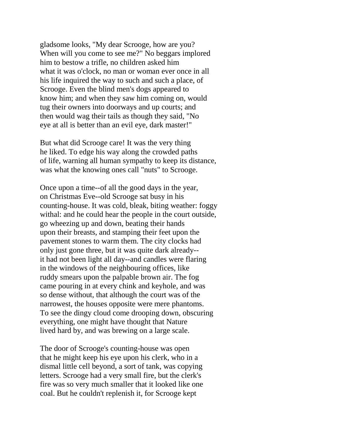gladsome looks, "My dear Scrooge, how are you? When will you come to see me?" No beggars implored him to bestow a trifle, no children asked him what it was o'clock, no man or woman ever once in all his life inquired the way to such and such a place, of Scrooge. Even the blind men's dogs appeared to know him; and when they saw him coming on, would tug their owners into doorways and up courts; and then would wag their tails as though they said, "No eye at all is better than an evil eye, dark master!"

But what did Scrooge care! It was the very thing he liked. To edge his way along the crowded paths of life, warning all human sympathy to keep its distance, was what the knowing ones call "nuts" to Scrooge.

Once upon a time--of all the good days in the year, on Christmas Eve--old Scrooge sat busy in his counting-house. It was cold, bleak, biting weather: foggy withal: and he could hear the people in the court outside, go wheezing up and down, beating their hands upon their breasts, and stamping their feet upon the pavement stones to warm them. The city clocks had only just gone three, but it was quite dark already- it had not been light all day--and candles were flaring in the windows of the neighbouring offices, like ruddy smears upon the palpable brown air. The fog came pouring in at every chink and keyhole, and was so dense without, that although the court was of the narrowest, the houses opposite were mere phantoms. To see the dingy cloud come drooping down, obscuring everything, one might have thought that Nature lived hard by, and was brewing on a large scale.

The door of Scrooge's counting-house was open that he might keep his eye upon his clerk, who in a dismal little cell beyond, a sort of tank, was copying letters. Scrooge had a very small fire, but the clerk's fire was so very much smaller that it looked like one coal. But he couldn't replenish it, for Scrooge kept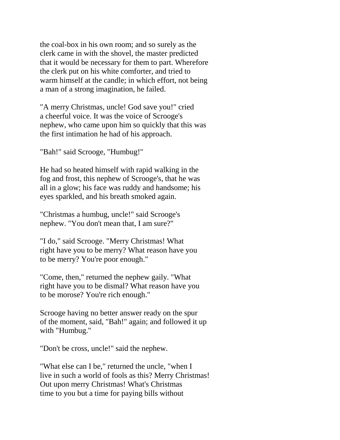the coal-box in his own room; and so surely as the clerk came in with the shovel, the master predicted that it would be necessary for them to part. Wherefore the clerk put on his white comforter, and tried to warm himself at the candle; in which effort, not being a man of a strong imagination, he failed.

"A merry Christmas, uncle! God save you!" cried a cheerful voice. It was the voice of Scrooge's nephew, who came upon him so quickly that this was the first intimation he had of his approach.

"Bah!" said Scrooge, "Humbug!"

He had so heated himself with rapid walking in the fog and frost, this nephew of Scrooge's, that he was all in a glow; his face was ruddy and handsome; his eyes sparkled, and his breath smoked again.

"Christmas a humbug, uncle!" said Scrooge's nephew. "You don't mean that, I am sure?"

"I do," said Scrooge. "Merry Christmas! What right have you to be merry? What reason have you to be merry? You're poor enough."

"Come, then," returned the nephew gaily. "What right have you to be dismal? What reason have you to be morose? You're rich enough."

Scrooge having no better answer ready on the spur of the moment, said, "Bah!" again; and followed it up with "Humbug."

"Don't be cross, uncle!" said the nephew.

"What else can I be," returned the uncle, "when I live in such a world of fools as this? Merry Christmas! Out upon merry Christmas! What's Christmas time to you but a time for paying bills without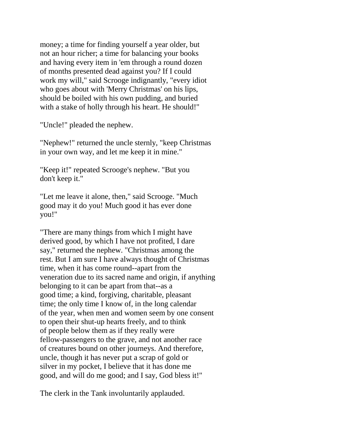money; a time for finding yourself a year older, but not an hour richer; a time for balancing your books and having every item in 'em through a round dozen of months presented dead against you? If I could work my will," said Scrooge indignantly, "every idiot who goes about with 'Merry Christmas' on his lips, should be boiled with his own pudding, and buried with a stake of holly through his heart. He should!"

"Uncle!" pleaded the nephew.

"Nephew!" returned the uncle sternly, "keep Christmas in your own way, and let me keep it in mine."

"Keep it!" repeated Scrooge's nephew. "But you don't keep it."

"Let me leave it alone, then," said Scrooge. "Much good may it do you! Much good it has ever done you!"

"There are many things from which I might have derived good, by which I have not profited, I dare say," returned the nephew. "Christmas among the rest. But I am sure I have always thought of Christmas time, when it has come round--apart from the veneration due to its sacred name and origin, if anything belonging to it can be apart from that--as a good time; a kind, forgiving, charitable, pleasant time; the only time I know of, in the long calendar of the year, when men and women seem by one consent to open their shut-up hearts freely, and to think of people below them as if they really were fellow-passengers to the grave, and not another race of creatures bound on other journeys. And therefore, uncle, though it has never put a scrap of gold or silver in my pocket, I believe that it has done me good, and will do me good; and I say, God bless it!"

The clerk in the Tank involuntarily applauded.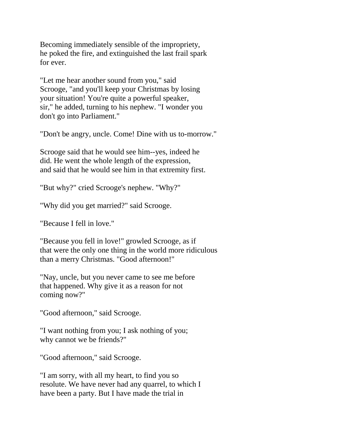Becoming immediately sensible of the impropriety, he poked the fire, and extinguished the last frail spark for ever.

"Let me hear another sound from you," said Scrooge, "and you'll keep your Christmas by losing your situation! You're quite a powerful speaker, sir," he added, turning to his nephew. "I wonder you don't go into Parliament."

"Don't be angry, uncle. Come! Dine with us to-morrow."

Scrooge said that he would see him--yes, indeed he did. He went the whole length of the expression, and said that he would see him in that extremity first.

"But why?" cried Scrooge's nephew. "Why?"

"Why did you get married?" said Scrooge.

"Because I fell in love."

"Because you fell in love!" growled Scrooge, as if that were the only one thing in the world more ridiculous than a merry Christmas. "Good afternoon!"

"Nay, uncle, but you never came to see me before that happened. Why give it as a reason for not coming now?"

"Good afternoon," said Scrooge.

"I want nothing from you; I ask nothing of you; why cannot we be friends?"

"Good afternoon," said Scrooge.

"I am sorry, with all my heart, to find you so resolute. We have never had any quarrel, to which I have been a party. But I have made the trial in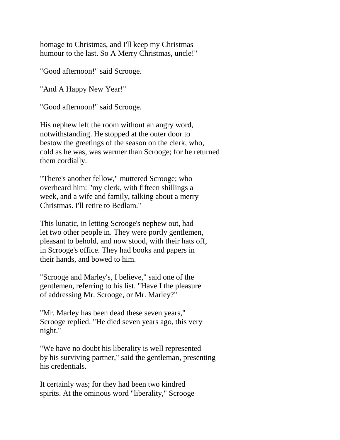homage to Christmas, and I'll keep my Christmas humour to the last. So A Merry Christmas, uncle!"

"Good afternoon!" said Scrooge.

"And A Happy New Year!"

"Good afternoon!" said Scrooge.

His nephew left the room without an angry word, notwithstanding. He stopped at the outer door to bestow the greetings of the season on the clerk, who, cold as he was, was warmer than Scrooge; for he returned them cordially.

"There's another fellow," muttered Scrooge; who overheard him: "my clerk, with fifteen shillings a week, and a wife and family, talking about a merry Christmas. I'll retire to Bedlam."

This lunatic, in letting Scrooge's nephew out, had let two other people in. They were portly gentlemen, pleasant to behold, and now stood, with their hats off, in Scrooge's office. They had books and papers in their hands, and bowed to him.

"Scrooge and Marley's, I believe," said one of the gentlemen, referring to his list. "Have I the pleasure of addressing Mr. Scrooge, or Mr. Marley?"

"Mr. Marley has been dead these seven years," Scrooge replied. "He died seven years ago, this very night."

"We have no doubt his liberality is well represented by his surviving partner," said the gentleman, presenting his credentials.

It certainly was; for they had been two kindred spirits. At the ominous word "liberality," Scrooge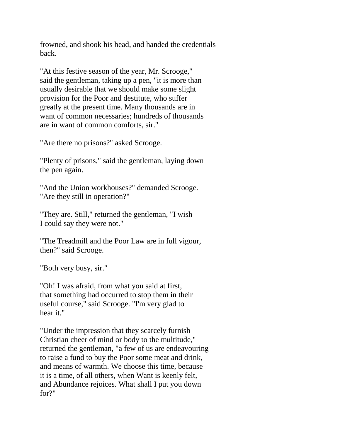frowned, and shook his head, and handed the credentials back.

"At this festive season of the year, Mr. Scrooge," said the gentleman, taking up a pen, "it is more than usually desirable that we should make some slight provision for the Poor and destitute, who suffer greatly at the present time. Many thousands are in want of common necessaries; hundreds of thousands are in want of common comforts, sir."

"Are there no prisons?" asked Scrooge.

"Plenty of prisons," said the gentleman, laying down the pen again.

"And the Union workhouses?" demanded Scrooge. "Are they still in operation?"

"They are. Still," returned the gentleman, "I wish I could say they were not."

"The Treadmill and the Poor Law are in full vigour, then?" said Scrooge.

"Both very busy, sir."

"Oh! I was afraid, from what you said at first, that something had occurred to stop them in their useful course," said Scrooge. "I'm very glad to hear it."

"Under the impression that they scarcely furnish Christian cheer of mind or body to the multitude," returned the gentleman, "a few of us are endeavouring to raise a fund to buy the Poor some meat and drink, and means of warmth. We choose this time, because it is a time, of all others, when Want is keenly felt, and Abundance rejoices. What shall I put you down for?"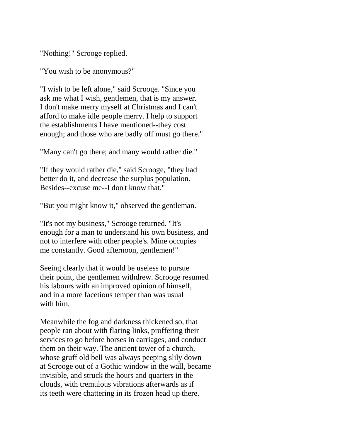"Nothing!" Scrooge replied.

"You wish to be anonymous?"

"I wish to be left alone," said Scrooge. "Since you ask me what I wish, gentlemen, that is my answer. I don't make merry myself at Christmas and I can't afford to make idle people merry. I help to support the establishments I have mentioned--they cost enough; and those who are badly off must go there."

"Many can't go there; and many would rather die."

"If they would rather die," said Scrooge, "they had better do it, and decrease the surplus population. Besides--excuse me--I don't know that."

"But you might know it," observed the gentleman.

"It's not my business," Scrooge returned. "It's enough for a man to understand his own business, and not to interfere with other people's. Mine occupies me constantly. Good afternoon, gentlemen!"

Seeing clearly that it would be useless to pursue their point, the gentlemen withdrew. Scrooge resumed his labours with an improved opinion of himself, and in a more facetious temper than was usual with him.

Meanwhile the fog and darkness thickened so, that people ran about with flaring links, proffering their services to go before horses in carriages, and conduct them on their way. The ancient tower of a church, whose gruff old bell was always peeping slily down at Scrooge out of a Gothic window in the wall, became invisible, and struck the hours and quarters in the clouds, with tremulous vibrations afterwards as if its teeth were chattering in its frozen head up there.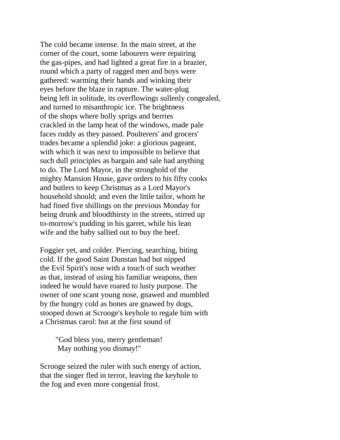The cold became intense. In the main street, at the corner of the court, some labourers were repairing the gas-pipes, and had lighted a great fire in a brazier, round which a party of ragged men and boys were gathered: warming their hands and winking their eyes before the blaze in rapture. The water-plug being left in solitude, its overflowings sullenly congealed, and turned to misanthropic ice. The brightness of the shops where holly sprigs and berries crackled in the lamp heat of the windows, made pale faces ruddy as they passed. Poulterers' and grocers' trades became a splendid joke: a glorious pageant, with which it was next to impossible to believe that such dull principles as bargain and sale had anything to do. The Lord Mayor, in the stronghold of the mighty Mansion House, gave orders to his fifty cooks and butlers to keep Christmas as a Lord Mayor's household should; and even the little tailor, whom he had fined five shillings on the previous Monday for being drunk and bloodthirsty in the streets, stirred up to-morrow's pudding in his garret, while his lean wife and the baby sallied out to buy the beef.

Foggier yet, and colder. Piercing, searching, biting cold. If the good Saint Dunstan had but nipped the Evil Spirit's nose with a touch of such weather as that, instead of using his familiar weapons, then indeed he would have roared to lusty purpose. The owner of one scant young nose, gnawed and mumbled by the hungry cold as bones are gnawed by dogs, stooped down at Scrooge's keyhole to regale him with a Christmas carol: but at the first sound of

 "God bless you, merry gentleman! May nothing you dismay!"

Scrooge seized the ruler with such energy of action, that the singer fled in terror, leaving the keyhole to the fog and even more congenial frost.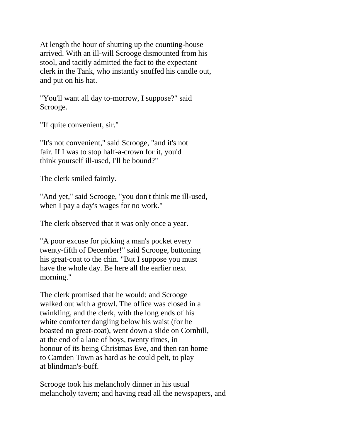At length the hour of shutting up the counting-house arrived. With an ill-will Scrooge dismounted from his stool, and tacitly admitted the fact to the expectant clerk in the Tank, who instantly snuffed his candle out, and put on his hat.

"You'll want all day to-morrow, I suppose?" said Scrooge.

"If quite convenient, sir."

"It's not convenient," said Scrooge, "and it's not fair. If I was to stop half-a-crown for it, you'd think yourself ill-used, I'll be bound?"

The clerk smiled faintly.

"And yet," said Scrooge, "you don't think me ill-used, when I pay a day's wages for no work."

The clerk observed that it was only once a year.

"A poor excuse for picking a man's pocket every twenty-fifth of December!" said Scrooge, buttoning his great-coat to the chin. "But I suppose you must have the whole day. Be here all the earlier next morning."

The clerk promised that he would; and Scrooge walked out with a growl. The office was closed in a twinkling, and the clerk, with the long ends of his white comforter dangling below his waist (for he boasted no great-coat), went down a slide on Cornhill, at the end of a lane of boys, twenty times, in honour of its being Christmas Eve, and then ran home to Camden Town as hard as he could pelt, to play at blindman's-buff.

Scrooge took his melancholy dinner in his usual melancholy tavern; and having read all the newspapers, and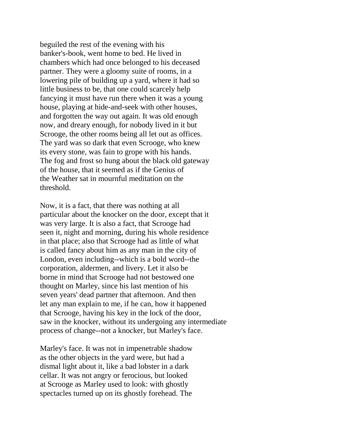beguiled the rest of the evening with his banker's-book, went home to bed. He lived in chambers which had once belonged to his deceased partner. They were a gloomy suite of rooms, in a lowering pile of building up a yard, where it had so little business to be, that one could scarcely help fancying it must have run there when it was a young house, playing at hide-and-seek with other houses, and forgotten the way out again. It was old enough now, and dreary enough, for nobody lived in it but Scrooge, the other rooms being all let out as offices. The yard was so dark that even Scrooge, who knew its every stone, was fain to grope with his hands. The fog and frost so hung about the black old gateway of the house, that it seemed as if the Genius of the Weather sat in mournful meditation on the threshold.

Now, it is a fact, that there was nothing at all particular about the knocker on the door, except that it was very large. It is also a fact, that Scrooge had seen it, night and morning, during his whole residence in that place; also that Scrooge had as little of what is called fancy about him as any man in the city of London, even including--which is a bold word--the corporation, aldermen, and livery. Let it also be borne in mind that Scrooge had not bestowed one thought on Marley, since his last mention of his seven years' dead partner that afternoon. And then let any man explain to me, if he can, how it happened that Scrooge, having his key in the lock of the door, saw in the knocker, without its undergoing any intermediate process of change--not a knocker, but Marley's face.

Marley's face. It was not in impenetrable shadow as the other objects in the yard were, but had a dismal light about it, like a bad lobster in a dark cellar. It was not angry or ferocious, but looked at Scrooge as Marley used to look: with ghostly spectacles turned up on its ghostly forehead. The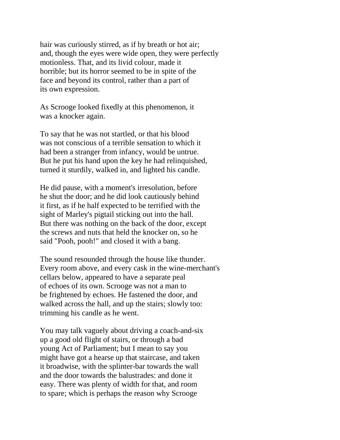hair was curiously stirred, as if by breath or hot air; and, though the eyes were wide open, they were perfectly motionless. That, and its livid colour, made it horrible; but its horror seemed to be in spite of the face and beyond its control, rather than a part of its own expression.

As Scrooge looked fixedly at this phenomenon, it was a knocker again.

To say that he was not startled, or that his blood was not conscious of a terrible sensation to which it had been a stranger from infancy, would be untrue. But he put his hand upon the key he had relinquished, turned it sturdily, walked in, and lighted his candle.

He did pause, with a moment's irresolution, before he shut the door; and he did look cautiously behind it first, as if he half expected to be terrified with the sight of Marley's pigtail sticking out into the hall. But there was nothing on the back of the door, except the screws and nuts that held the knocker on, so he said "Pooh, pooh!" and closed it with a bang.

The sound resounded through the house like thunder. Every room above, and every cask in the wine-merchant's cellars below, appeared to have a separate peal of echoes of its own. Scrooge was not a man to be frightened by echoes. He fastened the door, and walked across the hall, and up the stairs; slowly too: trimming his candle as he went.

You may talk vaguely about driving a coach-and-six up a good old flight of stairs, or through a bad young Act of Parliament; but I mean to say you might have got a hearse up that staircase, and taken it broadwise, with the splinter-bar towards the wall and the door towards the balustrades: and done it easy. There was plenty of width for that, and room to spare; which is perhaps the reason why Scrooge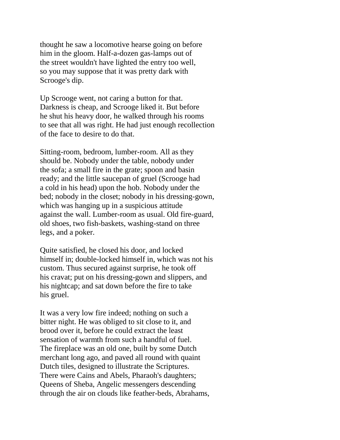thought he saw a locomotive hearse going on before him in the gloom. Half-a-dozen gas-lamps out of the street wouldn't have lighted the entry too well, so you may suppose that it was pretty dark with Scrooge's dip.

Up Scrooge went, not caring a button for that. Darkness is cheap, and Scrooge liked it. But before he shut his heavy door, he walked through his rooms to see that all was right. He had just enough recollection of the face to desire to do that.

Sitting-room, bedroom, lumber-room. All as they should be. Nobody under the table, nobody under the sofa; a small fire in the grate; spoon and basin ready; and the little saucepan of gruel (Scrooge had a cold in his head) upon the hob. Nobody under the bed; nobody in the closet; nobody in his dressing-gown, which was hanging up in a suspicious attitude against the wall. Lumber-room as usual. Old fire-guard, old shoes, two fish-baskets, washing-stand on three legs, and a poker.

Quite satisfied, he closed his door, and locked himself in; double-locked himself in, which was not his custom. Thus secured against surprise, he took off his cravat; put on his dressing-gown and slippers, and his nightcap; and sat down before the fire to take his gruel.

It was a very low fire indeed; nothing on such a bitter night. He was obliged to sit close to it, and brood over it, before he could extract the least sensation of warmth from such a handful of fuel. The fireplace was an old one, built by some Dutch merchant long ago, and paved all round with quaint Dutch tiles, designed to illustrate the Scriptures. There were Cains and Abels, Pharaoh's daughters; Queens of Sheba, Angelic messengers descending through the air on clouds like feather-beds, Abrahams,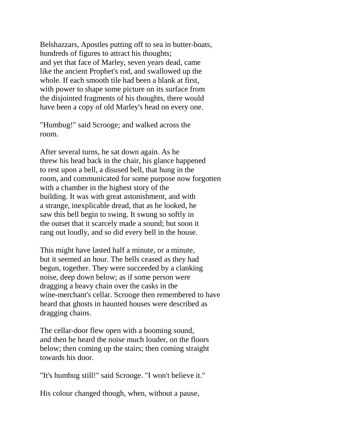Belshazzars, Apostles putting off to sea in butter-boats, hundreds of figures to attract his thoughts; and yet that face of Marley, seven years dead, came like the ancient Prophet's rod, and swallowed up the whole. If each smooth tile had been a blank at first, with power to shape some picture on its surface from the disjointed fragments of his thoughts, there would have been a copy of old Marley's head on every one.

"Humbug!" said Scrooge; and walked across the room.

After several turns, he sat down again. As he threw his head back in the chair, his glance happened to rest upon a bell, a disused bell, that hung in the room, and communicated for some purpose now forgotten with a chamber in the highest story of the building. It was with great astonishment, and with a strange, inexplicable dread, that as he looked, he saw this bell begin to swing. It swung so softly in the outset that it scarcely made a sound; but soon it rang out loudly, and so did every bell in the house.

This might have lasted half a minute, or a minute, but it seemed an hour. The bells ceased as they had begun, together. They were succeeded by a clanking noise, deep down below; as if some person were dragging a heavy chain over the casks in the wine-merchant's cellar. Scrooge then remembered to have heard that ghosts in haunted houses were described as dragging chains.

The cellar-door flew open with a booming sound, and then he heard the noise much louder, on the floors below; then coming up the stairs; then coming straight towards his door.

"It's humbug still!" said Scrooge. "I won't believe it."

His colour changed though, when, without a pause,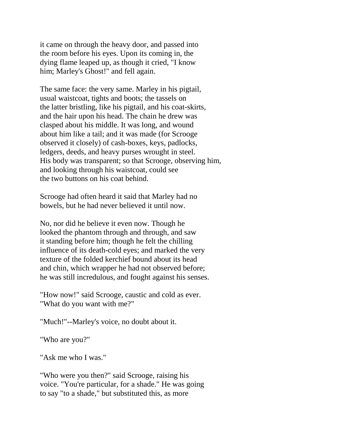it came on through the heavy door, and passed into the room before his eyes. Upon its coming in, the dying flame leaped up, as though it cried, "I know him; Marley's Ghost!" and fell again.

The same face: the very same. Marley in his pigtail, usual waistcoat, tights and boots; the tassels on the latter bristling, like his pigtail, and his coat-skirts, and the hair upon his head. The chain he drew was clasped about his middle. It was long, and wound about him like a tail; and it was made (for Scrooge observed it closely) of cash-boxes, keys, padlocks, ledgers, deeds, and heavy purses wrought in steel. His body was transparent; so that Scrooge, observing him, and looking through his waistcoat, could see the two buttons on his coat behind.

Scrooge had often heard it said that Marley had no bowels, but he had never believed it until now.

No, nor did he believe it even now. Though he looked the phantom through and through, and saw it standing before him; though he felt the chilling influence of its death-cold eyes; and marked the very texture of the folded kerchief bound about its head and chin, which wrapper he had not observed before; he was still incredulous, and fought against his senses.

"How now!" said Scrooge, caustic and cold as ever. "What do you want with me?"

"Much!"--Marley's voice, no doubt about it.

"Who are you?"

"Ask me who I was."

"Who were you then?" said Scrooge, raising his voice. "You're particular, for a shade." He was going to say "to a shade," but substituted this, as more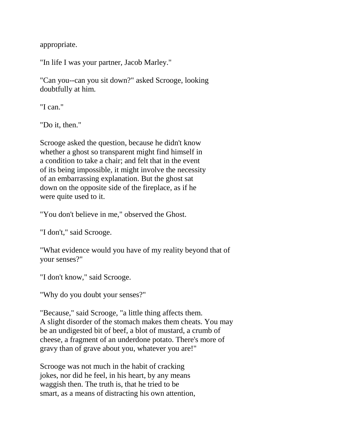appropriate.

"In life I was your partner, Jacob Marley."

"Can you--can you sit down?" asked Scrooge, looking doubtfully at him.

"I can."

"Do it, then."

Scrooge asked the question, because he didn't know whether a ghost so transparent might find himself in a condition to take a chair; and felt that in the event of its being impossible, it might involve the necessity of an embarrassing explanation. But the ghost sat down on the opposite side of the fireplace, as if he were quite used to it.

"You don't believe in me," observed the Ghost.

"I don't," said Scrooge.

"What evidence would you have of my reality beyond that of your senses?"

"I don't know," said Scrooge.

"Why do you doubt your senses?"

"Because," said Scrooge, "a little thing affects them. A slight disorder of the stomach makes them cheats. You may be an undigested bit of beef, a blot of mustard, a crumb of cheese, a fragment of an underdone potato. There's more of gravy than of grave about you, whatever you are!"

Scrooge was not much in the habit of cracking jokes, nor did he feel, in his heart, by any means waggish then. The truth is, that he tried to be smart, as a means of distracting his own attention,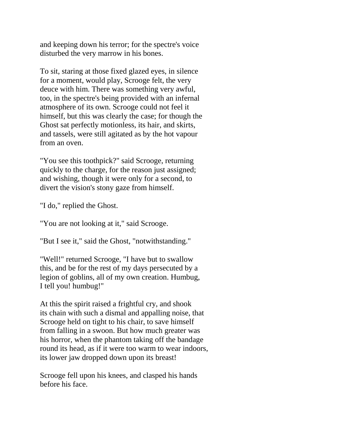and keeping down his terror; for the spectre's voice disturbed the very marrow in his bones.

To sit, staring at those fixed glazed eyes, in silence for a moment, would play, Scrooge felt, the very deuce with him. There was something very awful, too, in the spectre's being provided with an infernal atmosphere of its own. Scrooge could not feel it himself, but this was clearly the case; for though the Ghost sat perfectly motionless, its hair, and skirts, and tassels, were still agitated as by the hot vapour from an oven.

"You see this toothpick?" said Scrooge, returning quickly to the charge, for the reason just assigned; and wishing, though it were only for a second, to divert the vision's stony gaze from himself.

"I do," replied the Ghost.

"You are not looking at it," said Scrooge.

"But I see it," said the Ghost, "notwithstanding."

"Well!" returned Scrooge, "I have but to swallow this, and be for the rest of my days persecuted by a legion of goblins, all of my own creation. Humbug, I tell you! humbug!"

At this the spirit raised a frightful cry, and shook its chain with such a dismal and appalling noise, that Scrooge held on tight to his chair, to save himself from falling in a swoon. But how much greater was his horror, when the phantom taking off the bandage round its head, as if it were too warm to wear indoors, its lower jaw dropped down upon its breast!

Scrooge fell upon his knees, and clasped his hands before his face.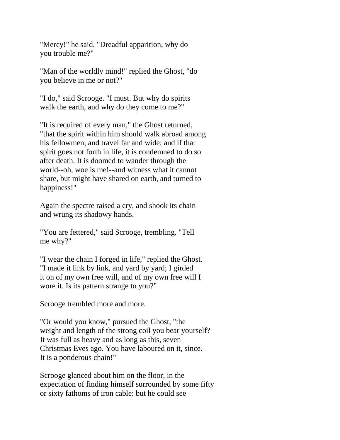"Mercy!" he said. "Dreadful apparition, why do you trouble me?"

"Man of the worldly mind!" replied the Ghost, "do you believe in me or not?"

"I do," said Scrooge. "I must. But why do spirits walk the earth, and why do they come to me?"

"It is required of every man," the Ghost returned, "that the spirit within him should walk abroad among his fellowmen, and travel far and wide; and if that spirit goes not forth in life, it is condemned to do so after death. It is doomed to wander through the world--oh, woe is me!--and witness what it cannot share, but might have shared on earth, and turned to happiness!"

Again the spectre raised a cry, and shook its chain and wrung its shadowy hands.

"You are fettered," said Scrooge, trembling. "Tell me why?"

"I wear the chain I forged in life," replied the Ghost. "I made it link by link, and yard by yard; I girded it on of my own free will, and of my own free will I wore it. Is its pattern strange to you?"

Scrooge trembled more and more.

"Or would you know," pursued the Ghost, "the weight and length of the strong coil you bear yourself? It was full as heavy and as long as this, seven Christmas Eves ago. You have laboured on it, since. It is a ponderous chain!"

Scrooge glanced about him on the floor, in the expectation of finding himself surrounded by some fifty or sixty fathoms of iron cable: but he could see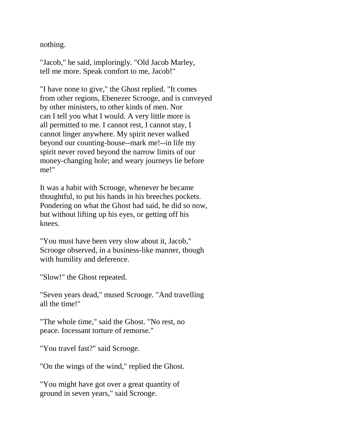nothing.

"Jacob," he said, imploringly. "Old Jacob Marley, tell me more. Speak comfort to me, Jacob!"

"I have none to give," the Ghost replied. "It comes from other regions, Ebenezer Scrooge, and is conveyed by other ministers, to other kinds of men. Nor can I tell you what I would. A very little more is all permitted to me. I cannot rest, I cannot stay, I cannot linger anywhere. My spirit never walked beyond our counting-house--mark me!--in life my spirit never roved beyond the narrow limits of our money-changing hole; and weary journeys lie before me!"

It was a habit with Scrooge, whenever he became thoughtful, to put his hands in his breeches pockets. Pondering on what the Ghost had said, he did so now, but without lifting up his eyes, or getting off his knees.

"You must have been very slow about it, Jacob," Scrooge observed, in a business-like manner, though with humility and deference.

"Slow!" the Ghost repeated.

"Seven years dead," mused Scrooge. "And travelling all the time!"

"The whole time," said the Ghost. "No rest, no peace. Incessant torture of remorse."

"You travel fast?" said Scrooge.

"On the wings of the wind," replied the Ghost.

"You might have got over a great quantity of ground in seven years," said Scrooge.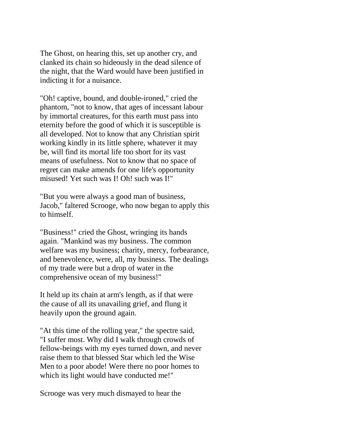The Ghost, on hearing this, set up another cry, and clanked its chain so hideously in the dead silence of the night, that the Ward would have been justified in indicting it for a nuisance.

"Oh! captive, bound, and double-ironed," cried the phantom, "not to know, that ages of incessant labour by immortal creatures, for this earth must pass into eternity before the good of which it is susceptible is all developed. Not to know that any Christian spirit working kindly in its little sphere, whatever it may be, will find its mortal life too short for its vast means of usefulness. Not to know that no space of regret can make amends for one life's opportunity misused! Yet such was I! Oh! such was I!"

"But you were always a good man of business, Jacob," faltered Scrooge, who now began to apply this to himself.

"Business!" cried the Ghost, wringing its hands again. "Mankind was my business. The common welfare was my business; charity, mercy, forbearance, and benevolence, were, all, my business. The dealings of my trade were but a drop of water in the comprehensive ocean of my business!"

It held up its chain at arm's length, as if that were the cause of all its unavailing grief, and flung it heavily upon the ground again.

"At this time of the rolling year," the spectre said, "I suffer most. Why did I walk through crowds of fellow-beings with my eyes turned down, and never raise them to that blessed Star which led the Wise Men to a poor abode! Were there no poor homes to which its light would have conducted me!"

Scrooge was very much dismayed to hear the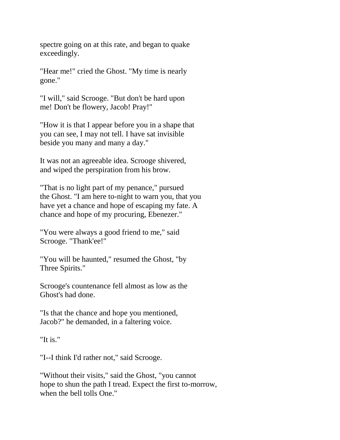spectre going on at this rate, and began to quake exceedingly.

"Hear me!" cried the Ghost. "My time is nearly gone."

"I will," said Scrooge. "But don't be hard upon me! Don't be flowery, Jacob! Pray!"

"How it is that I appear before you in a shape that you can see, I may not tell. I have sat invisible beside you many and many a day."

It was not an agreeable idea. Scrooge shivered, and wiped the perspiration from his brow.

"That is no light part of my penance," pursued the Ghost. "I am here to-night to warn you, that you have yet a chance and hope of escaping my fate. A chance and hope of my procuring, Ebenezer."

"You were always a good friend to me," said Scrooge. "Thank'ee!"

"You will be haunted," resumed the Ghost, "by Three Spirits."

Scrooge's countenance fell almost as low as the Ghost's had done.

"Is that the chance and hope you mentioned, Jacob?" he demanded, in a faltering voice.

"It is."

"I--I think I'd rather not," said Scrooge.

"Without their visits," said the Ghost, "you cannot hope to shun the path I tread. Expect the first to-morrow, when the bell tolls One."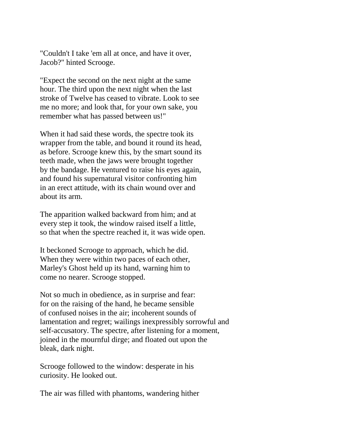"Couldn't I take 'em all at once, and have it over, Jacob?" hinted Scrooge.

"Expect the second on the next night at the same hour. The third upon the next night when the last stroke of Twelve has ceased to vibrate. Look to see me no more; and look that, for your own sake, you remember what has passed between us!"

When it had said these words, the spectre took its wrapper from the table, and bound it round its head, as before. Scrooge knew this, by the smart sound its teeth made, when the jaws were brought together by the bandage. He ventured to raise his eyes again, and found his supernatural visitor confronting him in an erect attitude, with its chain wound over and about its arm.

The apparition walked backward from him; and at every step it took, the window raised itself a little, so that when the spectre reached it, it was wide open.

It beckoned Scrooge to approach, which he did. When they were within two paces of each other, Marley's Ghost held up its hand, warning him to come no nearer. Scrooge stopped.

Not so much in obedience, as in surprise and fear: for on the raising of the hand, he became sensible of confused noises in the air; incoherent sounds of lamentation and regret; wailings inexpressibly sorrowful and self-accusatory. The spectre, after listening for a moment, joined in the mournful dirge; and floated out upon the bleak, dark night.

Scrooge followed to the window: desperate in his curiosity. He looked out.

The air was filled with phantoms, wandering hither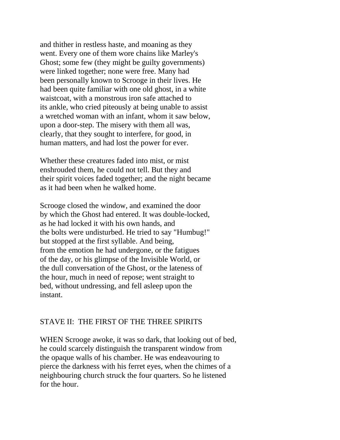and thither in restless haste, and moaning as they went. Every one of them wore chains like Marley's Ghost; some few (they might be guilty governments) were linked together; none were free. Many had been personally known to Scrooge in their lives. He had been quite familiar with one old ghost, in a white waistcoat, with a monstrous iron safe attached to its ankle, who cried piteously at being unable to assist a wretched woman with an infant, whom it saw below, upon a door-step. The misery with them all was, clearly, that they sought to interfere, for good, in human matters, and had lost the power for ever.

Whether these creatures faded into mist, or mist enshrouded them, he could not tell. But they and their spirit voices faded together; and the night became as it had been when he walked home.

Scrooge closed the window, and examined the door by which the Ghost had entered. It was double-locked, as he had locked it with his own hands, and the bolts were undisturbed. He tried to say "Humbug!" but stopped at the first syllable. And being, from the emotion he had undergone, or the fatigues of the day, or his glimpse of the Invisible World, or the dull conversation of the Ghost, or the lateness of the hour, much in need of repose; went straight to bed, without undressing, and fell asleep upon the instant.

## STAVE II: THE FIRST OF THE THREE SPIRITS

WHEN Scrooge awoke, it was so dark, that looking out of bed, he could scarcely distinguish the transparent window from the opaque walls of his chamber. He was endeavouring to pierce the darkness with his ferret eyes, when the chimes of a neighbouring church struck the four quarters. So he listened for the hour.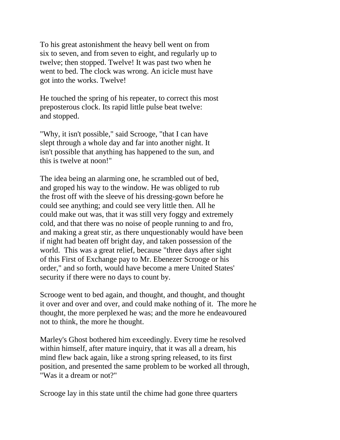To his great astonishment the heavy bell went on from six to seven, and from seven to eight, and regularly up to twelve; then stopped. Twelve! It was past two when he went to bed. The clock was wrong. An icicle must have got into the works. Twelve!

He touched the spring of his repeater, to correct this most preposterous clock. Its rapid little pulse beat twelve: and stopped.

"Why, it isn't possible," said Scrooge, "that I can have slept through a whole day and far into another night. It isn't possible that anything has happened to the sun, and this is twelve at noon!"

The idea being an alarming one, he scrambled out of bed, and groped his way to the window. He was obliged to rub the frost off with the sleeve of his dressing-gown before he could see anything; and could see very little then. All he could make out was, that it was still very foggy and extremely cold, and that there was no noise of people running to and fro, and making a great stir, as there unquestionably would have been if night had beaten off bright day, and taken possession of the world. This was a great relief, because "three days after sight of this First of Exchange pay to Mr. Ebenezer Scrooge or his order," and so forth, would have become a mere United States' security if there were no days to count by.

Scrooge went to bed again, and thought, and thought, and thought it over and over and over, and could make nothing of it. The more he thought, the more perplexed he was; and the more he endeavoured not to think, the more he thought.

Marley's Ghost bothered him exceedingly. Every time he resolved within himself, after mature inquiry, that it was all a dream, his mind flew back again, like a strong spring released, to its first position, and presented the same problem to be worked all through, "Was it a dream or not?"

Scrooge lay in this state until the chime had gone three quarters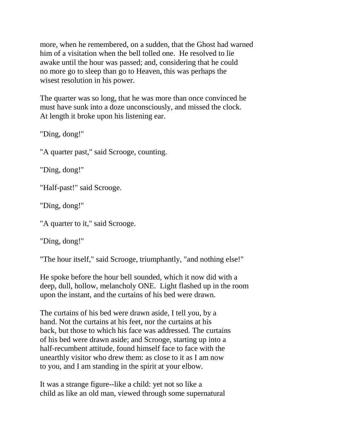more, when he remembered, on a sudden, that the Ghost had warned him of a visitation when the bell tolled one. He resolved to lie awake until the hour was passed; and, considering that he could no more go to sleep than go to Heaven, this was perhaps the wisest resolution in his power.

The quarter was so long, that he was more than once convinced he must have sunk into a doze unconsciously, and missed the clock. At length it broke upon his listening ear.

"Ding, dong!"

"A quarter past," said Scrooge, counting.

"Ding, dong!"

"Half-past!" said Scrooge.

"Ding, dong!"

"A quarter to it," said Scrooge.

"Ding, dong!"

"The hour itself," said Scrooge, triumphantly, "and nothing else!"

He spoke before the hour bell sounded, which it now did with a deep, dull, hollow, melancholy ONE. Light flashed up in the room upon the instant, and the curtains of his bed were drawn.

The curtains of his bed were drawn aside, I tell you, by a hand. Not the curtains at his feet, nor the curtains at his back, but those to which his face was addressed. The curtains of his bed were drawn aside; and Scrooge, starting up into a half-recumbent attitude, found himself face to face with the unearthly visitor who drew them: as close to it as I am now to you, and I am standing in the spirit at your elbow.

It was a strange figure--like a child: yet not so like a child as like an old man, viewed through some supernatural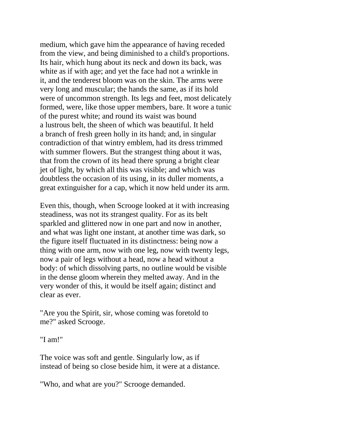medium, which gave him the appearance of having receded from the view, and being diminished to a child's proportions. Its hair, which hung about its neck and down its back, was white as if with age; and yet the face had not a wrinkle in it, and the tenderest bloom was on the skin. The arms were very long and muscular; the hands the same, as if its hold were of uncommon strength. Its legs and feet, most delicately formed, were, like those upper members, bare. It wore a tunic of the purest white; and round its waist was bound a lustrous belt, the sheen of which was beautiful. It held a branch of fresh green holly in its hand; and, in singular contradiction of that wintry emblem, had its dress trimmed with summer flowers. But the strangest thing about it was, that from the crown of its head there sprung a bright clear jet of light, by which all this was visible; and which was doubtless the occasion of its using, in its duller moments, a great extinguisher for a cap, which it now held under its arm.

Even this, though, when Scrooge looked at it with increasing steadiness, was not its strangest quality. For as its belt sparkled and glittered now in one part and now in another, and what was light one instant, at another time was dark, so the figure itself fluctuated in its distinctness: being now a thing with one arm, now with one leg, now with twenty legs, now a pair of legs without a head, now a head without a body: of which dissolving parts, no outline would be visible in the dense gloom wherein they melted away. And in the very wonder of this, it would be itself again; distinct and clear as ever.

"Are you the Spirit, sir, whose coming was foretold to me?" asked Scrooge.

"I am!"

The voice was soft and gentle. Singularly low, as if instead of being so close beside him, it were at a distance.

"Who, and what are you?" Scrooge demanded.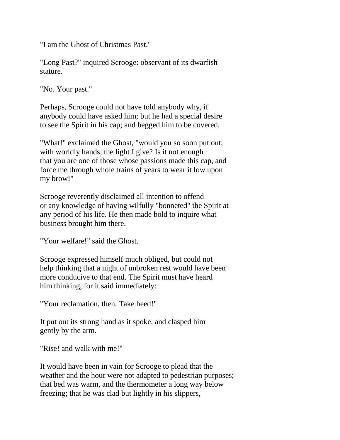"I am the Ghost of Christmas Past."

"Long Past?" inquired Scrooge: observant of its dwarfish stature.

"No. Your past."

Perhaps, Scrooge could not have told anybody why, if anybody could have asked him; but he had a special desire to see the Spirit in his cap; and begged him to be covered.

"What!" exclaimed the Ghost, "would you so soon put out, with worldly hands, the light I give? Is it not enough that you are one of those whose passions made this cap, and force me through whole trains of years to wear it low upon my brow!"

Scrooge reverently disclaimed all intention to offend or any knowledge of having wilfully "bonneted" the Spirit at any period of his life. He then made bold to inquire what business brought him there.

"Your welfare!" said the Ghost.

Scrooge expressed himself much obliged, but could not help thinking that a night of unbroken rest would have been more conducive to that end. The Spirit must have heard him thinking, for it said immediately:

"Your reclamation, then. Take heed!"

It put out its strong hand as it spoke, and clasped him gently by the arm.

"Rise! and walk with me!"

It would have been in vain for Scrooge to plead that the weather and the hour were not adapted to pedestrian purposes; that bed was warm, and the thermometer a long way below freezing; that he was clad but lightly in his slippers,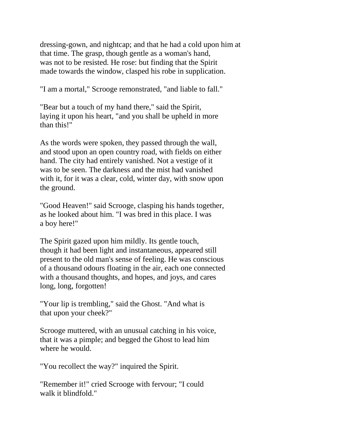dressing-gown, and nightcap; and that he had a cold upon him at that time. The grasp, though gentle as a woman's hand, was not to be resisted. He rose: but finding that the Spirit made towards the window, clasped his robe in supplication.

"I am a mortal," Scrooge remonstrated, "and liable to fall."

"Bear but a touch of my hand there," said the Spirit, laying it upon his heart, "and you shall be upheld in more than this!"

As the words were spoken, they passed through the wall, and stood upon an open country road, with fields on either hand. The city had entirely vanished. Not a vestige of it was to be seen. The darkness and the mist had vanished with it, for it was a clear, cold, winter day, with snow upon the ground.

"Good Heaven!" said Scrooge, clasping his hands together, as he looked about him. "I was bred in this place. I was a boy here!"

The Spirit gazed upon him mildly. Its gentle touch, though it had been light and instantaneous, appeared still present to the old man's sense of feeling. He was conscious of a thousand odours floating in the air, each one connected with a thousand thoughts, and hopes, and joys, and cares long, long, forgotten!

"Your lip is trembling," said the Ghost. "And what is that upon your cheek?"

Scrooge muttered, with an unusual catching in his voice, that it was a pimple; and begged the Ghost to lead him where he would.

"You recollect the way?" inquired the Spirit.

"Remember it!" cried Scrooge with fervour; "I could walk it blindfold."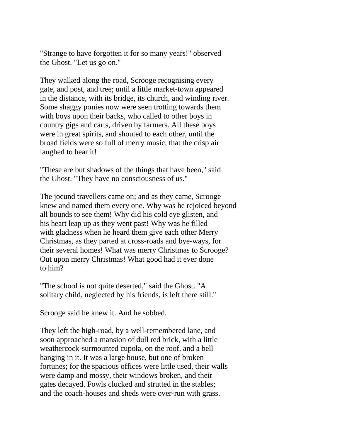"Strange to have forgotten it for so many years!" observed the Ghost. "Let us go on."

They walked along the road, Scrooge recognising every gate, and post, and tree; until a little market-town appeared in the distance, with its bridge, its church, and winding river. Some shaggy ponies now were seen trotting towards them with boys upon their backs, who called to other boys in country gigs and carts, driven by farmers. All these boys were in great spirits, and shouted to each other, until the broad fields were so full of merry music, that the crisp air laughed to hear it!

"These are but shadows of the things that have been," said the Ghost. "They have no consciousness of us."

The jocund travellers came on; and as they came, Scrooge knew and named them every one. Why was he rejoiced beyond all bounds to see them! Why did his cold eye glisten, and his heart leap up as they went past! Why was he filled with gladness when he heard them give each other Merry Christmas, as they parted at cross-roads and bye-ways, for their several homes! What was merry Christmas to Scrooge? Out upon merry Christmas! What good had it ever done to him?

"The school is not quite deserted," said the Ghost. "A solitary child, neglected by his friends, is left there still."

Scrooge said he knew it. And he sobbed.

They left the high-road, by a well-remembered lane, and soon approached a mansion of dull red brick, with a little weathercock-surmounted cupola, on the roof, and a bell hanging in it. It was a large house, but one of broken fortunes; for the spacious offices were little used, their walls were damp and mossy, their windows broken, and their gates decayed. Fowls clucked and strutted in the stables; and the coach-houses and sheds were over-run with grass.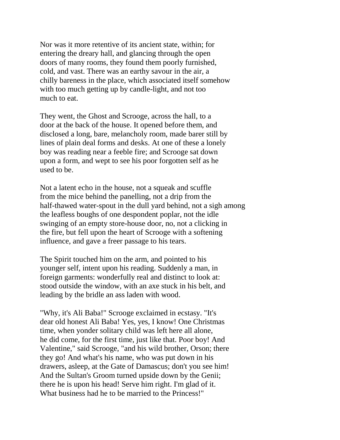Nor was it more retentive of its ancient state, within; for entering the dreary hall, and glancing through the open doors of many rooms, they found them poorly furnished, cold, and vast. There was an earthy savour in the air, a chilly bareness in the place, which associated itself somehow with too much getting up by candle-light, and not too much to eat.

They went, the Ghost and Scrooge, across the hall, to a door at the back of the house. It opened before them, and disclosed a long, bare, melancholy room, made barer still by lines of plain deal forms and desks. At one of these a lonely boy was reading near a feeble fire; and Scrooge sat down upon a form, and wept to see his poor forgotten self as he used to be.

Not a latent echo in the house, not a squeak and scuffle from the mice behind the panelling, not a drip from the half-thawed water-spout in the dull yard behind, not a sigh among the leafless boughs of one despondent poplar, not the idle swinging of an empty store-house door, no, not a clicking in the fire, but fell upon the heart of Scrooge with a softening influence, and gave a freer passage to his tears.

The Spirit touched him on the arm, and pointed to his younger self, intent upon his reading. Suddenly a man, in foreign garments: wonderfully real and distinct to look at: stood outside the window, with an axe stuck in his belt, and leading by the bridle an ass laden with wood.

"Why, it's Ali Baba!" Scrooge exclaimed in ecstasy. "It's dear old honest Ali Baba! Yes, yes, I know! One Christmas time, when yonder solitary child was left here all alone, he did come, for the first time, just like that. Poor boy! And Valentine," said Scrooge, "and his wild brother, Orson; there they go! And what's his name, who was put down in his drawers, asleep, at the Gate of Damascus; don't you see him! And the Sultan's Groom turned upside down by the Genii; there he is upon his head! Serve him right. I'm glad of it. What business had he to be married to the Princess!"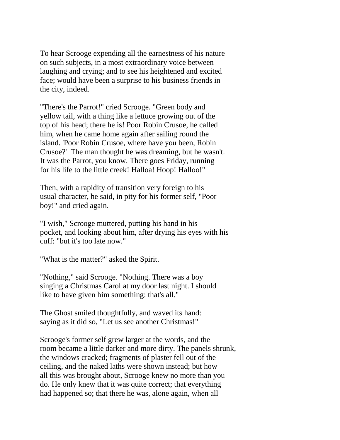To hear Scrooge expending all the earnestness of his nature on such subjects, in a most extraordinary voice between laughing and crying; and to see his heightened and excited face; would have been a surprise to his business friends in the city, indeed.

"There's the Parrot!" cried Scrooge. "Green body and yellow tail, with a thing like a lettuce growing out of the top of his head; there he is! Poor Robin Crusoe, he called him, when he came home again after sailing round the island. 'Poor Robin Crusoe, where have you been, Robin Crusoe?' The man thought he was dreaming, but he wasn't. It was the Parrot, you know. There goes Friday, running for his life to the little creek! Halloa! Hoop! Halloo!"

Then, with a rapidity of transition very foreign to his usual character, he said, in pity for his former self, "Poor boy!" and cried again.

"I wish," Scrooge muttered, putting his hand in his pocket, and looking about him, after drying his eyes with his cuff: "but it's too late now."

"What is the matter?" asked the Spirit.

"Nothing," said Scrooge. "Nothing. There was a boy singing a Christmas Carol at my door last night. I should like to have given him something: that's all."

The Ghost smiled thoughtfully, and waved its hand: saying as it did so, "Let us see another Christmas!"

Scrooge's former self grew larger at the words, and the room became a little darker and more dirty. The panels shrunk, the windows cracked; fragments of plaster fell out of the ceiling, and the naked laths were shown instead; but how all this was brought about, Scrooge knew no more than you do. He only knew that it was quite correct; that everything had happened so; that there he was, alone again, when all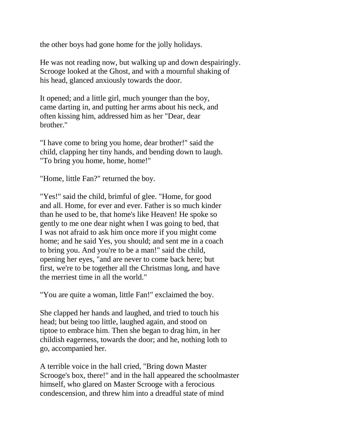the other boys had gone home for the jolly holidays.

He was not reading now, but walking up and down despairingly. Scrooge looked at the Ghost, and with a mournful shaking of his head, glanced anxiously towards the door.

It opened; and a little girl, much younger than the boy, came darting in, and putting her arms about his neck, and often kissing him, addressed him as her "Dear, dear brother."

"I have come to bring you home, dear brother!" said the child, clapping her tiny hands, and bending down to laugh. "To bring you home, home, home!"

"Home, little Fan?" returned the boy.

"Yes!" said the child, brimful of glee. "Home, for good and all. Home, for ever and ever. Father is so much kinder than he used to be, that home's like Heaven! He spoke so gently to me one dear night when I was going to bed, that I was not afraid to ask him once more if you might come home; and he said Yes, you should; and sent me in a coach to bring you. And you're to be a man!" said the child, opening her eyes, "and are never to come back here; but first, we're to be together all the Christmas long, and have the merriest time in all the world."

"You are quite a woman, little Fan!" exclaimed the boy.

She clapped her hands and laughed, and tried to touch his head; but being too little, laughed again, and stood on tiptoe to embrace him. Then she began to drag him, in her childish eagerness, towards the door; and he, nothing loth to go, accompanied her.

A terrible voice in the hall cried, "Bring down Master Scrooge's box, there!" and in the hall appeared the schoolmaster himself, who glared on Master Scrooge with a ferocious condescension, and threw him into a dreadful state of mind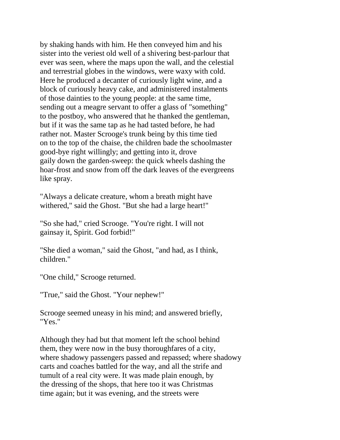by shaking hands with him. He then conveyed him and his sister into the veriest old well of a shivering best-parlour that ever was seen, where the maps upon the wall, and the celestial and terrestrial globes in the windows, were waxy with cold. Here he produced a decanter of curiously light wine, and a block of curiously heavy cake, and administered instalments of those dainties to the young people: at the same time, sending out a meagre servant to offer a glass of "something" to the postboy, who answered that he thanked the gentleman, but if it was the same tap as he had tasted before, he had rather not. Master Scrooge's trunk being by this time tied on to the top of the chaise, the children bade the schoolmaster good-bye right willingly; and getting into it, drove gaily down the garden-sweep: the quick wheels dashing the hoar-frost and snow from off the dark leaves of the evergreens like spray.

"Always a delicate creature, whom a breath might have withered," said the Ghost. "But she had a large heart!"

"So she had," cried Scrooge. "You're right. I will not gainsay it, Spirit. God forbid!"

"She died a woman," said the Ghost, "and had, as I think, children."

"One child," Scrooge returned.

"True," said the Ghost. "Your nephew!"

Scrooge seemed uneasy in his mind; and answered briefly, "Yes."

Although they had but that moment left the school behind them, they were now in the busy thoroughfares of a city, where shadowy passengers passed and repassed; where shadowy carts and coaches battled for the way, and all the strife and tumult of a real city were. It was made plain enough, by the dressing of the shops, that here too it was Christmas time again; but it was evening, and the streets were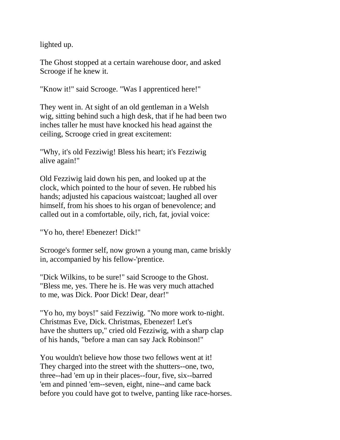lighted up.

The Ghost stopped at a certain warehouse door, and asked Scrooge if he knew it.

"Know it!" said Scrooge. "Was I apprenticed here!"

They went in. At sight of an old gentleman in a Welsh wig, sitting behind such a high desk, that if he had been two inches taller he must have knocked his head against the ceiling, Scrooge cried in great excitement:

"Why, it's old Fezziwig! Bless his heart; it's Fezziwig alive again!"

Old Fezziwig laid down his pen, and looked up at the clock, which pointed to the hour of seven. He rubbed his hands; adjusted his capacious waistcoat; laughed all over himself, from his shoes to his organ of benevolence; and called out in a comfortable, oily, rich, fat, jovial voice:

"Yo ho, there! Ebenezer! Dick!"

Scrooge's former self, now grown a young man, came briskly in, accompanied by his fellow-'prentice.

"Dick Wilkins, to be sure!" said Scrooge to the Ghost. "Bless me, yes. There he is. He was very much attached to me, was Dick. Poor Dick! Dear, dear!"

"Yo ho, my boys!" said Fezziwig. "No more work to-night. Christmas Eve, Dick. Christmas, Ebenezer! Let's have the shutters up," cried old Fezziwig, with a sharp clap of his hands, "before a man can say Jack Robinson!"

You wouldn't believe how those two fellows went at it! They charged into the street with the shutters--one, two, three--had 'em up in their places--four, five, six--barred 'em and pinned 'em--seven, eight, nine--and came back before you could have got to twelve, panting like race-horses.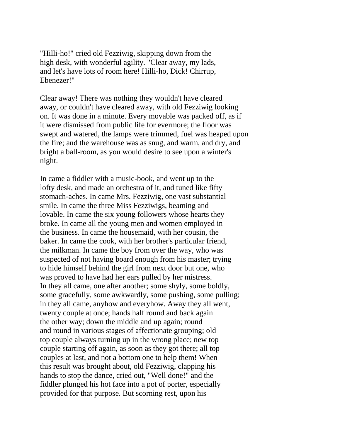"Hilli-ho!" cried old Fezziwig, skipping down from the high desk, with wonderful agility. "Clear away, my lads, and let's have lots of room here! Hilli-ho, Dick! Chirrup, Ebenezer!"

Clear away! There was nothing they wouldn't have cleared away, or couldn't have cleared away, with old Fezziwig looking on. It was done in a minute. Every movable was packed off, as if it were dismissed from public life for evermore; the floor was swept and watered, the lamps were trimmed, fuel was heaped upon the fire; and the warehouse was as snug, and warm, and dry, and bright a ball-room, as you would desire to see upon a winter's night.

In came a fiddler with a music-book, and went up to the lofty desk, and made an orchestra of it, and tuned like fifty stomach-aches. In came Mrs. Fezziwig, one vast substantial smile. In came the three Miss Fezziwigs, beaming and lovable. In came the six young followers whose hearts they broke. In came all the young men and women employed in the business. In came the housemaid, with her cousin, the baker. In came the cook, with her brother's particular friend, the milkman. In came the boy from over the way, who was suspected of not having board enough from his master; trying to hide himself behind the girl from next door but one, who was proved to have had her ears pulled by her mistress. In they all came, one after another; some shyly, some boldly, some gracefully, some awkwardly, some pushing, some pulling; in they all came, anyhow and everyhow. Away they all went, twenty couple at once; hands half round and back again the other way; down the middle and up again; round and round in various stages of affectionate grouping; old top couple always turning up in the wrong place; new top couple starting off again, as soon as they got there; all top couples at last, and not a bottom one to help them! When this result was brought about, old Fezziwig, clapping his hands to stop the dance, cried out, "Well done!" and the fiddler plunged his hot face into a pot of porter, especially provided for that purpose. But scorning rest, upon his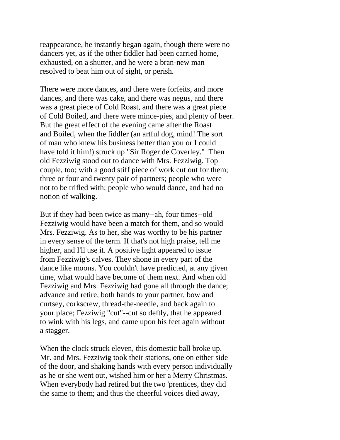reappearance, he instantly began again, though there were no dancers yet, as if the other fiddler had been carried home, exhausted, on a shutter, and he were a bran-new man resolved to beat him out of sight, or perish.

There were more dances, and there were forfeits, and more dances, and there was cake, and there was negus, and there was a great piece of Cold Roast, and there was a great piece of Cold Boiled, and there were mince-pies, and plenty of beer. But the great effect of the evening came after the Roast and Boiled, when the fiddler (an artful dog, mind! The sort of man who knew his business better than you or I could have told it him!) struck up "Sir Roger de Coverley." Then old Fezziwig stood out to dance with Mrs. Fezziwig. Top couple, too; with a good stiff piece of work cut out for them; three or four and twenty pair of partners; people who were not to be trifled with; people who would dance, and had no notion of walking.

But if they had been twice as many--ah, four times--old Fezziwig would have been a match for them, and so would Mrs. Fezziwig. As to her, she was worthy to be his partner in every sense of the term. If that's not high praise, tell me higher, and I'll use it. A positive light appeared to issue from Fezziwig's calves. They shone in every part of the dance like moons. You couldn't have predicted, at any given time, what would have become of them next. And when old Fezziwig and Mrs. Fezziwig had gone all through the dance; advance and retire, both hands to your partner, bow and curtsey, corkscrew, thread-the-needle, and back again to your place; Fezziwig "cut"--cut so deftly, that he appeared to wink with his legs, and came upon his feet again without a stagger.

When the clock struck eleven, this domestic ball broke up. Mr. and Mrs. Fezziwig took their stations, one on either side of the door, and shaking hands with every person individually as he or she went out, wished him or her a Merry Christmas. When everybody had retired but the two 'prentices, they did the same to them; and thus the cheerful voices died away,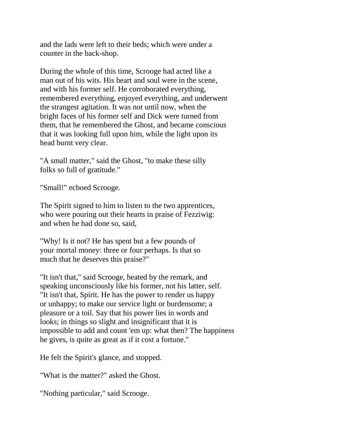and the lads were left to their beds; which were under a counter in the back-shop.

During the whole of this time, Scrooge had acted like a man out of his wits. His heart and soul were in the scene, and with his former self. He corroborated everything, remembered everything, enjoyed everything, and underwent the strangest agitation. It was not until now, when the bright faces of his former self and Dick were turned from them, that he remembered the Ghost, and became conscious that it was looking full upon him, while the light upon its head burnt very clear.

"A small matter," said the Ghost, "to make these silly folks so full of gratitude."

"Small!" echoed Scrooge.

The Spirit signed to him to listen to the two apprentices, who were pouring out their hearts in praise of Fezziwig: and when he had done so, said,

"Why! Is it not? He has spent but a few pounds of your mortal money: three or four perhaps. Is that so much that he deserves this praise?"

"It isn't that," said Scrooge, heated by the remark, and speaking unconsciously like his former, not his latter, self. "It isn't that, Spirit. He has the power to render us happy or unhappy; to make our service light or burdensome; a pleasure or a toil. Say that his power lies in words and looks; in things so slight and insignificant that it is impossible to add and count 'em up: what then? The happiness he gives, is quite as great as if it cost a fortune."

He felt the Spirit's glance, and stopped.

"What is the matter?" asked the Ghost.

"Nothing particular," said Scrooge.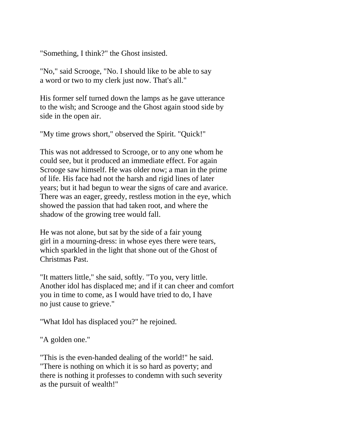"Something, I think?" the Ghost insisted.

"No," said Scrooge, "No. I should like to be able to say a word or two to my clerk just now. That's all."

His former self turned down the lamps as he gave utterance to the wish; and Scrooge and the Ghost again stood side by side in the open air.

"My time grows short," observed the Spirit. "Quick!"

This was not addressed to Scrooge, or to any one whom he could see, but it produced an immediate effect. For again Scrooge saw himself. He was older now; a man in the prime of life. His face had not the harsh and rigid lines of later years; but it had begun to wear the signs of care and avarice. There was an eager, greedy, restless motion in the eye, which showed the passion that had taken root, and where the shadow of the growing tree would fall.

He was not alone, but sat by the side of a fair young girl in a mourning-dress: in whose eyes there were tears, which sparkled in the light that shone out of the Ghost of Christmas Past.

"It matters little," she said, softly. "To you, very little. Another idol has displaced me; and if it can cheer and comfort you in time to come, as I would have tried to do, I have no just cause to grieve."

"What Idol has displaced you?" he rejoined.

"A golden one."

"This is the even-handed dealing of the world!" he said. "There is nothing on which it is so hard as poverty; and there is nothing it professes to condemn with such severity as the pursuit of wealth!"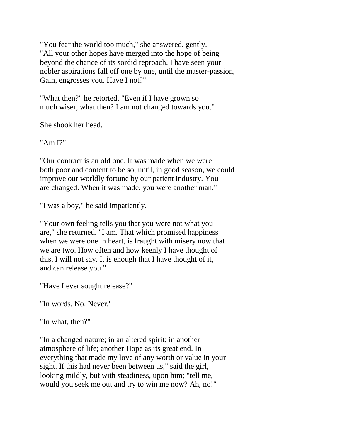"You fear the world too much," she answered, gently. "All your other hopes have merged into the hope of being beyond the chance of its sordid reproach. I have seen your nobler aspirations fall off one by one, until the master-passion, Gain, engrosses you. Have I not?"

"What then?" he retorted. "Even if I have grown so much wiser, what then? I am not changed towards you."

She shook her head.

"Am I?"

"Our contract is an old one. It was made when we were both poor and content to be so, until, in good season, we could improve our worldly fortune by our patient industry. You are changed. When it was made, you were another man."

"I was a boy," he said impatiently.

"Your own feeling tells you that you were not what you are," she returned. "I am. That which promised happiness when we were one in heart, is fraught with misery now that we are two. How often and how keenly I have thought of this, I will not say. It is enough that I have thought of it, and can release you."

"Have I ever sought release?"

"In words. No. Never."

"In what, then?"

"In a changed nature; in an altered spirit; in another atmosphere of life; another Hope as its great end. In everything that made my love of any worth or value in your sight. If this had never been between us," said the girl, looking mildly, but with steadiness, upon him; "tell me, would you seek me out and try to win me now? Ah, no!"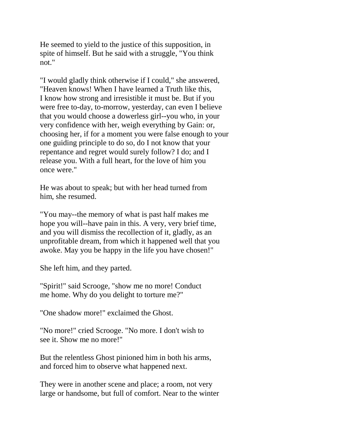He seemed to yield to the justice of this supposition, in spite of himself. But he said with a struggle, "You think not."

"I would gladly think otherwise if I could," she answered, "Heaven knows! When I have learned a Truth like this, I know how strong and irresistible it must be. But if you were free to-day, to-morrow, yesterday, can even I believe that you would choose a dowerless girl--you who, in your very confidence with her, weigh everything by Gain: or, choosing her, if for a moment you were false enough to your one guiding principle to do so, do I not know that your repentance and regret would surely follow? I do; and I release you. With a full heart, for the love of him you once were."

He was about to speak; but with her head turned from him, she resumed.

"You may--the memory of what is past half makes me hope you will--have pain in this. A very, very brief time, and you will dismiss the recollection of it, gladly, as an unprofitable dream, from which it happened well that you awoke. May you be happy in the life you have chosen!"

She left him, and they parted.

"Spirit!" said Scrooge, "show me no more! Conduct me home. Why do you delight to torture me?"

"One shadow more!" exclaimed the Ghost.

"No more!" cried Scrooge. "No more. I don't wish to see it. Show me no more!"

But the relentless Ghost pinioned him in both his arms, and forced him to observe what happened next.

They were in another scene and place; a room, not very large or handsome, but full of comfort. Near to the winter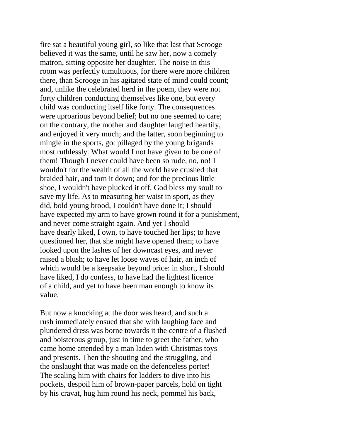fire sat a beautiful young girl, so like that last that Scrooge believed it was the same, until he saw her, now a comely matron, sitting opposite her daughter. The noise in this room was perfectly tumultuous, for there were more children there, than Scrooge in his agitated state of mind could count; and, unlike the celebrated herd in the poem, they were not forty children conducting themselves like one, but every child was conducting itself like forty. The consequences were uproarious beyond belief; but no one seemed to care; on the contrary, the mother and daughter laughed heartily, and enjoyed it very much; and the latter, soon beginning to mingle in the sports, got pillaged by the young brigands most ruthlessly. What would I not have given to be one of them! Though I never could have been so rude, no, no! I wouldn't for the wealth of all the world have crushed that braided hair, and torn it down; and for the precious little shoe, I wouldn't have plucked it off, God bless my soul! to save my life. As to measuring her waist in sport, as they did, bold young brood, I couldn't have done it; I should have expected my arm to have grown round it for a punishment, and never come straight again. And yet I should have dearly liked, I own, to have touched her lips; to have questioned her, that she might have opened them; to have looked upon the lashes of her downcast eyes, and never raised a blush; to have let loose waves of hair, an inch of which would be a keepsake beyond price: in short, I should have liked, I do confess, to have had the lightest licence of a child, and yet to have been man enough to know its value.

But now a knocking at the door was heard, and such a rush immediately ensued that she with laughing face and plundered dress was borne towards it the centre of a flushed and boisterous group, just in time to greet the father, who came home attended by a man laden with Christmas toys and presents. Then the shouting and the struggling, and the onslaught that was made on the defenceless porter! The scaling him with chairs for ladders to dive into his pockets, despoil him of brown-paper parcels, hold on tight by his cravat, hug him round his neck, pommel his back,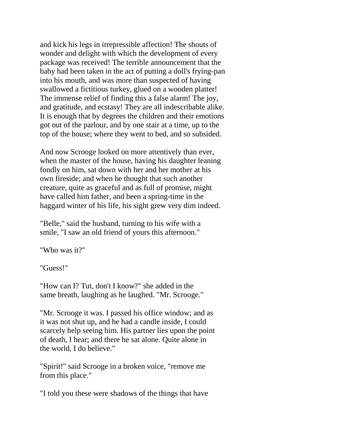and kick his legs in irrepressible affection! The shouts of wonder and delight with which the development of every package was received! The terrible announcement that the baby had been taken in the act of putting a doll's frying-pan into his mouth, and was more than suspected of having swallowed a fictitious turkey, glued on a wooden platter! The immense relief of finding this a false alarm! The joy, and gratitude, and ecstasy! They are all indescribable alike. It is enough that by degrees the children and their emotions got out of the parlour, and by one stair at a time, up to the top of the house; where they went to bed, and so subsided.

And now Scrooge looked on more attentively than ever, when the master of the house, having his daughter leaning fondly on him, sat down with her and her mother at his own fireside; and when he thought that such another creature, quite as graceful and as full of promise, might have called him father, and been a spring-time in the haggard winter of his life, his sight grew very dim indeed.

"Belle," said the husband, turning to his wife with a smile, "I saw an old friend of yours this afternoon."

"Who was it?"

"Guess!"

"How can I? Tut, don't I know?" she added in the same breath, laughing as he laughed. "Mr. Scrooge."

"Mr. Scrooge it was. I passed his office window; and as it was not shut up, and he had a candle inside, I could scarcely help seeing him. His partner lies upon the point of death, I hear; and there he sat alone. Quite alone in the world, I do believe."

"Spirit!" said Scrooge in a broken voice, "remove me from this place."

"I told you these were shadows of the things that have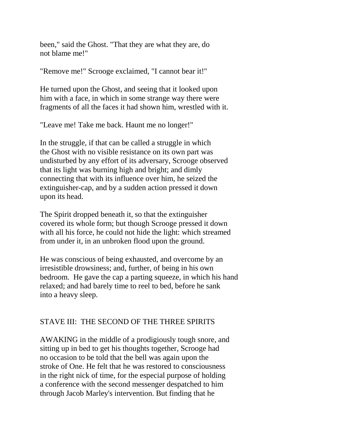been," said the Ghost. "That they are what they are, do not blame me!"

"Remove me!" Scrooge exclaimed, "I cannot bear it!"

He turned upon the Ghost, and seeing that it looked upon him with a face, in which in some strange way there were fragments of all the faces it had shown him, wrestled with it.

"Leave me! Take me back. Haunt me no longer!"

In the struggle, if that can be called a struggle in which the Ghost with no visible resistance on its own part was undisturbed by any effort of its adversary, Scrooge observed that its light was burning high and bright; and dimly connecting that with its influence over him, he seized the extinguisher-cap, and by a sudden action pressed it down upon its head.

The Spirit dropped beneath it, so that the extinguisher covered its whole form; but though Scrooge pressed it down with all his force, he could not hide the light: which streamed from under it, in an unbroken flood upon the ground.

He was conscious of being exhausted, and overcome by an irresistible drowsiness; and, further, of being in his own bedroom. He gave the cap a parting squeeze, in which his hand relaxed; and had barely time to reel to bed, before he sank into a heavy sleep.

## STAVE III: THE SECOND OF THE THREE SPIRITS

AWAKING in the middle of a prodigiously tough snore, and sitting up in bed to get his thoughts together, Scrooge had no occasion to be told that the bell was again upon the stroke of One. He felt that he was restored to consciousness in the right nick of time, for the especial purpose of holding a conference with the second messenger despatched to him through Jacob Marley's intervention. But finding that he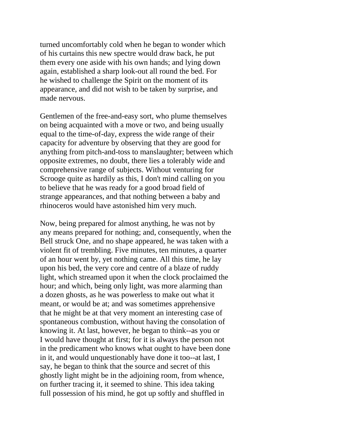turned uncomfortably cold when he began to wonder which of his curtains this new spectre would draw back, he put them every one aside with his own hands; and lying down again, established a sharp look-out all round the bed. For he wished to challenge the Spirit on the moment of its appearance, and did not wish to be taken by surprise, and made nervous.

Gentlemen of the free-and-easy sort, who plume themselves on being acquainted with a move or two, and being usually equal to the time-of-day, express the wide range of their capacity for adventure by observing that they are good for anything from pitch-and-toss to manslaughter; between which opposite extremes, no doubt, there lies a tolerably wide and comprehensive range of subjects. Without venturing for Scrooge quite as hardily as this, I don't mind calling on you to believe that he was ready for a good broad field of strange appearances, and that nothing between a baby and rhinoceros would have astonished him very much.

Now, being prepared for almost anything, he was not by any means prepared for nothing; and, consequently, when the Bell struck One, and no shape appeared, he was taken with a violent fit of trembling. Five minutes, ten minutes, a quarter of an hour went by, yet nothing came. All this time, he lay upon his bed, the very core and centre of a blaze of ruddy light, which streamed upon it when the clock proclaimed the hour; and which, being only light, was more alarming than a dozen ghosts, as he was powerless to make out what it meant, or would be at; and was sometimes apprehensive that he might be at that very moment an interesting case of spontaneous combustion, without having the consolation of knowing it. At last, however, he began to think--as you or I would have thought at first; for it is always the person not in the predicament who knows what ought to have been done in it, and would unquestionably have done it too--at last, I say, he began to think that the source and secret of this ghostly light might be in the adjoining room, from whence, on further tracing it, it seemed to shine. This idea taking full possession of his mind, he got up softly and shuffled in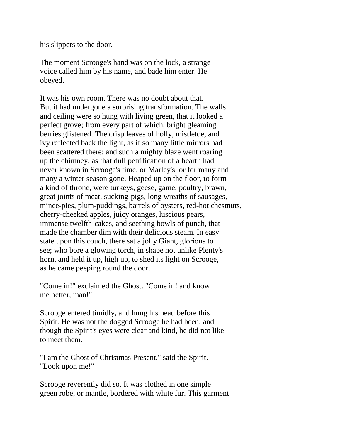his slippers to the door.

The moment Scrooge's hand was on the lock, a strange voice called him by his name, and bade him enter. He obeyed.

It was his own room. There was no doubt about that. But it had undergone a surprising transformation. The walls and ceiling were so hung with living green, that it looked a perfect grove; from every part of which, bright gleaming berries glistened. The crisp leaves of holly, mistletoe, and ivy reflected back the light, as if so many little mirrors had been scattered there; and such a mighty blaze went roaring up the chimney, as that dull petrification of a hearth had never known in Scrooge's time, or Marley's, or for many and many a winter season gone. Heaped up on the floor, to form a kind of throne, were turkeys, geese, game, poultry, brawn, great joints of meat, sucking-pigs, long wreaths of sausages, mince-pies, plum-puddings, barrels of oysters, red-hot chestnuts, cherry-cheeked apples, juicy oranges, luscious pears, immense twelfth-cakes, and seething bowls of punch, that made the chamber dim with their delicious steam. In easy state upon this couch, there sat a jolly Giant, glorious to see; who bore a glowing torch, in shape not unlike Plenty's horn, and held it up, high up, to shed its light on Scrooge, as he came peeping round the door.

"Come in!" exclaimed the Ghost. "Come in! and know me better, man!"

Scrooge entered timidly, and hung his head before this Spirit. He was not the dogged Scrooge he had been; and though the Spirit's eyes were clear and kind, he did not like to meet them.

"I am the Ghost of Christmas Present," said the Spirit. "Look upon me!"

Scrooge reverently did so. It was clothed in one simple green robe, or mantle, bordered with white fur. This garment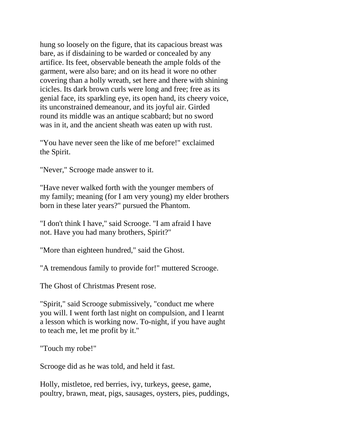hung so loosely on the figure, that its capacious breast was bare, as if disdaining to be warded or concealed by any artifice. Its feet, observable beneath the ample folds of the garment, were also bare; and on its head it wore no other covering than a holly wreath, set here and there with shining icicles. Its dark brown curls were long and free; free as its genial face, its sparkling eye, its open hand, its cheery voice, its unconstrained demeanour, and its joyful air. Girded round its middle was an antique scabbard; but no sword was in it, and the ancient sheath was eaten up with rust.

"You have never seen the like of me before!" exclaimed the Spirit.

"Never," Scrooge made answer to it.

"Have never walked forth with the younger members of my family; meaning (for I am very young) my elder brothers born in these later years?" pursued the Phantom.

"I don't think I have," said Scrooge. "I am afraid I have not. Have you had many brothers, Spirit?"

"More than eighteen hundred," said the Ghost.

"A tremendous family to provide for!" muttered Scrooge.

The Ghost of Christmas Present rose.

"Spirit," said Scrooge submissively, "conduct me where you will. I went forth last night on compulsion, and I learnt a lesson which is working now. To-night, if you have aught to teach me, let me profit by it."

"Touch my robe!"

Scrooge did as he was told, and held it fast.

Holly, mistletoe, red berries, ivy, turkeys, geese, game, poultry, brawn, meat, pigs, sausages, oysters, pies, puddings,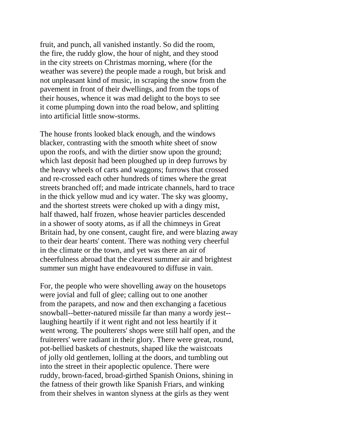fruit, and punch, all vanished instantly. So did the room, the fire, the ruddy glow, the hour of night, and they stood in the city streets on Christmas morning, where (for the weather was severe) the people made a rough, but brisk and not unpleasant kind of music, in scraping the snow from the pavement in front of their dwellings, and from the tops of their houses, whence it was mad delight to the boys to see it come plumping down into the road below, and splitting into artificial little snow-storms.

The house fronts looked black enough, and the windows blacker, contrasting with the smooth white sheet of snow upon the roofs, and with the dirtier snow upon the ground; which last deposit had been ploughed up in deep furrows by the heavy wheels of carts and waggons; furrows that crossed and re-crossed each other hundreds of times where the great streets branched off; and made intricate channels, hard to trace in the thick yellow mud and icy water. The sky was gloomy, and the shortest streets were choked up with a dingy mist, half thawed, half frozen, whose heavier particles descended in a shower of sooty atoms, as if all the chimneys in Great Britain had, by one consent, caught fire, and were blazing away to their dear hearts' content. There was nothing very cheerful in the climate or the town, and yet was there an air of cheerfulness abroad that the clearest summer air and brightest summer sun might have endeavoured to diffuse in vain.

For, the people who were shovelling away on the housetops were jovial and full of glee; calling out to one another from the parapets, and now and then exchanging a facetious snowball--better-natured missile far than many a wordy jest- laughing heartily if it went right and not less heartily if it went wrong. The poulterers' shops were still half open, and the fruiterers' were radiant in their glory. There were great, round, pot-bellied baskets of chestnuts, shaped like the waistcoats of jolly old gentlemen, lolling at the doors, and tumbling out into the street in their apoplectic opulence. There were ruddy, brown-faced, broad-girthed Spanish Onions, shining in the fatness of their growth like Spanish Friars, and winking from their shelves in wanton slyness at the girls as they went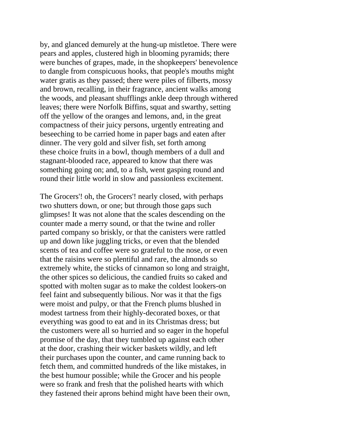by, and glanced demurely at the hung-up mistletoe. There were pears and apples, clustered high in blooming pyramids; there were bunches of grapes, made, in the shopkeepers' benevolence to dangle from conspicuous hooks, that people's mouths might water gratis as they passed; there were piles of filberts, mossy and brown, recalling, in their fragrance, ancient walks among the woods, and pleasant shufflings ankle deep through withered leaves; there were Norfolk Biffins, squat and swarthy, setting off the yellow of the oranges and lemons, and, in the great compactness of their juicy persons, urgently entreating and beseeching to be carried home in paper bags and eaten after dinner. The very gold and silver fish, set forth among these choice fruits in a bowl, though members of a dull and stagnant-blooded race, appeared to know that there was something going on; and, to a fish, went gasping round and round their little world in slow and passionless excitement.

The Grocers'! oh, the Grocers'! nearly closed, with perhaps two shutters down, or one; but through those gaps such glimpses! It was not alone that the scales descending on the counter made a merry sound, or that the twine and roller parted company so briskly, or that the canisters were rattled up and down like juggling tricks, or even that the blended scents of tea and coffee were so grateful to the nose, or even that the raisins were so plentiful and rare, the almonds so extremely white, the sticks of cinnamon so long and straight, the other spices so delicious, the candied fruits so caked and spotted with molten sugar as to make the coldest lookers-on feel faint and subsequently bilious. Nor was it that the figs were moist and pulpy, or that the French plums blushed in modest tartness from their highly-decorated boxes, or that everything was good to eat and in its Christmas dress; but the customers were all so hurried and so eager in the hopeful promise of the day, that they tumbled up against each other at the door, crashing their wicker baskets wildly, and left their purchases upon the counter, and came running back to fetch them, and committed hundreds of the like mistakes, in the best humour possible; while the Grocer and his people were so frank and fresh that the polished hearts with which they fastened their aprons behind might have been their own,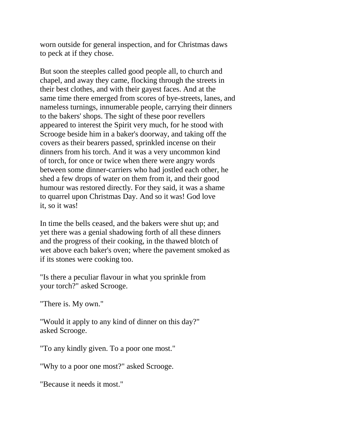worn outside for general inspection, and for Christmas daws to peck at if they chose.

But soon the steeples called good people all, to church and chapel, and away they came, flocking through the streets in their best clothes, and with their gayest faces. And at the same time there emerged from scores of bye-streets, lanes, and nameless turnings, innumerable people, carrying their dinners to the bakers' shops. The sight of these poor revellers appeared to interest the Spirit very much, for he stood with Scrooge beside him in a baker's doorway, and taking off the covers as their bearers passed, sprinkled incense on their dinners from his torch. And it was a very uncommon kind of torch, for once or twice when there were angry words between some dinner-carriers who had jostled each other, he shed a few drops of water on them from it, and their good humour was restored directly. For they said, it was a shame to quarrel upon Christmas Day. And so it was! God love it, so it was!

In time the bells ceased, and the bakers were shut up; and yet there was a genial shadowing forth of all these dinners and the progress of their cooking, in the thawed blotch of wet above each baker's oven; where the pavement smoked as if its stones were cooking too.

"Is there a peculiar flavour in what you sprinkle from your torch?" asked Scrooge.

"There is. My own."

"Would it apply to any kind of dinner on this day?" asked Scrooge.

"To any kindly given. To a poor one most."

"Why to a poor one most?" asked Scrooge.

"Because it needs it most."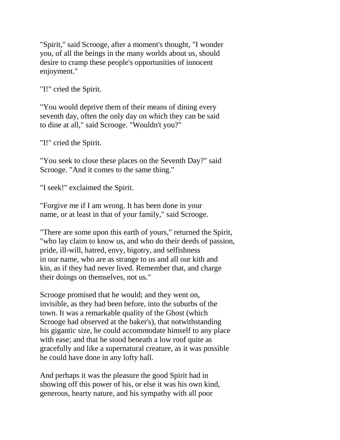"Spirit," said Scrooge, after a moment's thought, "I wonder you, of all the beings in the many worlds about us, should desire to cramp these people's opportunities of innocent enjoyment."

"I!" cried the Spirit.

"You would deprive them of their means of dining every seventh day, often the only day on which they can be said to dine at all," said Scrooge. "Wouldn't you?"

"I!" cried the Spirit.

"You seek to close these places on the Seventh Day?" said Scrooge. "And it comes to the same thing."

"I seek!" exclaimed the Spirit.

"Forgive me if I am wrong. It has been done in your name, or at least in that of your family," said Scrooge.

"There are some upon this earth of yours," returned the Spirit, "who lay claim to know us, and who do their deeds of passion, pride, ill-will, hatred, envy, bigotry, and selfishness in our name, who are as strange to us and all our kith and kin, as if they had never lived. Remember that, and charge their doings on themselves, not us."

Scrooge promised that he would; and they went on, invisible, as they had been before, into the suburbs of the town. It was a remarkable quality of the Ghost (which Scrooge had observed at the baker's), that notwithstanding his gigantic size, he could accommodate himself to any place with ease; and that he stood beneath a low roof quite as gracefully and like a supernatural creature, as it was possible he could have done in any lofty hall.

And perhaps it was the pleasure the good Spirit had in showing off this power of his, or else it was his own kind, generous, hearty nature, and his sympathy with all poor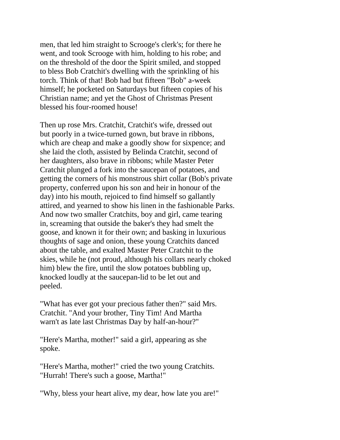men, that led him straight to Scrooge's clerk's; for there he went, and took Scrooge with him, holding to his robe; and on the threshold of the door the Spirit smiled, and stopped to bless Bob Cratchit's dwelling with the sprinkling of his torch. Think of that! Bob had but fifteen "Bob" a-week himself; he pocketed on Saturdays but fifteen copies of his Christian name; and yet the Ghost of Christmas Present blessed his four-roomed house!

Then up rose Mrs. Cratchit, Cratchit's wife, dressed out but poorly in a twice-turned gown, but brave in ribbons, which are cheap and make a goodly show for sixpence; and she laid the cloth, assisted by Belinda Cratchit, second of her daughters, also brave in ribbons; while Master Peter Cratchit plunged a fork into the saucepan of potatoes, and getting the corners of his monstrous shirt collar (Bob's private property, conferred upon his son and heir in honour of the day) into his mouth, rejoiced to find himself so gallantly attired, and yearned to show his linen in the fashionable Parks. And now two smaller Cratchits, boy and girl, came tearing in, screaming that outside the baker's they had smelt the goose, and known it for their own; and basking in luxurious thoughts of sage and onion, these young Cratchits danced about the table, and exalted Master Peter Cratchit to the skies, while he (not proud, although his collars nearly choked him) blew the fire, until the slow potatoes bubbling up, knocked loudly at the saucepan-lid to be let out and peeled.

"What has ever got your precious father then?" said Mrs. Cratchit. "And your brother, Tiny Tim! And Martha warn't as late last Christmas Day by half-an-hour?"

"Here's Martha, mother!" said a girl, appearing as she spoke.

"Here's Martha, mother!" cried the two young Cratchits. "Hurrah! There's such a goose, Martha!"

"Why, bless your heart alive, my dear, how late you are!"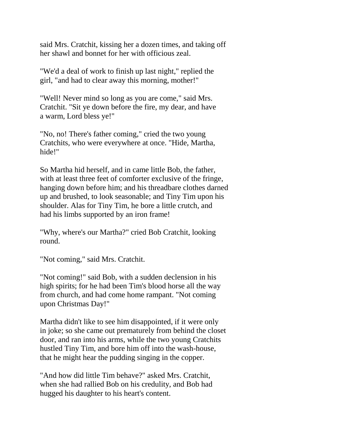said Mrs. Cratchit, kissing her a dozen times, and taking off her shawl and bonnet for her with officious zeal.

"We'd a deal of work to finish up last night," replied the girl, "and had to clear away this morning, mother!"

"Well! Never mind so long as you are come," said Mrs. Cratchit. "Sit ye down before the fire, my dear, and have a warm, Lord bless ye!"

"No, no! There's father coming," cried the two young Cratchits, who were everywhere at once. "Hide, Martha, hide!"

So Martha hid herself, and in came little Bob, the father, with at least three feet of comforter exclusive of the fringe, hanging down before him; and his threadbare clothes darned up and brushed, to look seasonable; and Tiny Tim upon his shoulder. Alas for Tiny Tim, he bore a little crutch, and had his limbs supported by an iron frame!

"Why, where's our Martha?" cried Bob Cratchit, looking round.

"Not coming," said Mrs. Cratchit.

"Not coming!" said Bob, with a sudden declension in his high spirits; for he had been Tim's blood horse all the way from church, and had come home rampant. "Not coming upon Christmas Day!"

Martha didn't like to see him disappointed, if it were only in joke; so she came out prematurely from behind the closet door, and ran into his arms, while the two young Cratchits hustled Tiny Tim, and bore him off into the wash-house, that he might hear the pudding singing in the copper.

"And how did little Tim behave?" asked Mrs. Cratchit, when she had rallied Bob on his credulity, and Bob had hugged his daughter to his heart's content.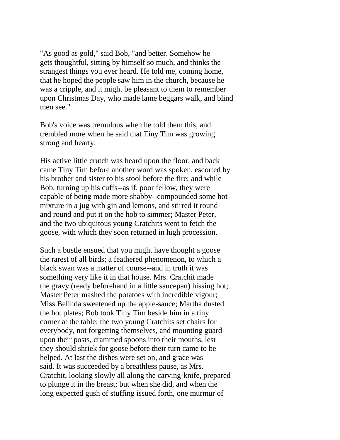"As good as gold," said Bob, "and better. Somehow he gets thoughtful, sitting by himself so much, and thinks the strangest things you ever heard. He told me, coming home, that he hoped the people saw him in the church, because he was a cripple, and it might be pleasant to them to remember upon Christmas Day, who made lame beggars walk, and blind men see."

Bob's voice was tremulous when he told them this, and trembled more when he said that Tiny Tim was growing strong and hearty.

His active little crutch was heard upon the floor, and back came Tiny Tim before another word was spoken, escorted by his brother and sister to his stool before the fire; and while Bob, turning up his cuffs--as if, poor fellow, they were capable of being made more shabby--compounded some hot mixture in a jug with gin and lemons, and stirred it round and round and put it on the hob to simmer; Master Peter, and the two ubiquitous young Cratchits went to fetch the goose, with which they soon returned in high procession.

Such a bustle ensued that you might have thought a goose the rarest of all birds; a feathered phenomenon, to which a black swan was a matter of course--and in truth it was something very like it in that house. Mrs. Cratchit made the gravy (ready beforehand in a little saucepan) hissing hot; Master Peter mashed the potatoes with incredible vigour; Miss Belinda sweetened up the apple-sauce; Martha dusted the hot plates; Bob took Tiny Tim beside him in a tiny corner at the table; the two young Cratchits set chairs for everybody, not forgetting themselves, and mounting guard upon their posts, crammed spoons into their mouths, lest they should shriek for goose before their turn came to be helped. At last the dishes were set on, and grace was said. It was succeeded by a breathless pause, as Mrs. Cratchit, looking slowly all along the carving-knife, prepared to plunge it in the breast; but when she did, and when the long expected gush of stuffing issued forth, one murmur of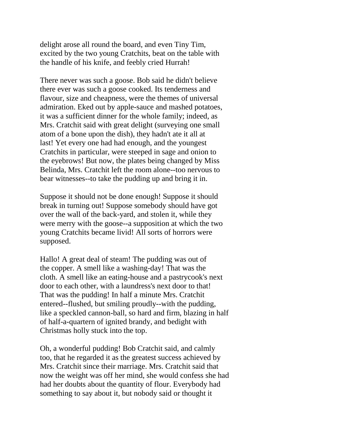delight arose all round the board, and even Tiny Tim, excited by the two young Cratchits, beat on the table with the handle of his knife, and feebly cried Hurrah!

There never was such a goose. Bob said he didn't believe there ever was such a goose cooked. Its tenderness and flavour, size and cheapness, were the themes of universal admiration. Eked out by apple-sauce and mashed potatoes, it was a sufficient dinner for the whole family; indeed, as Mrs. Cratchit said with great delight (surveying one small atom of a bone upon the dish), they hadn't ate it all at last! Yet every one had had enough, and the youngest Cratchits in particular, were steeped in sage and onion to the eyebrows! But now, the plates being changed by Miss Belinda, Mrs. Cratchit left the room alone--too nervous to bear witnesses--to take the pudding up and bring it in.

Suppose it should not be done enough! Suppose it should break in turning out! Suppose somebody should have got over the wall of the back-yard, and stolen it, while they were merry with the goose--a supposition at which the two young Cratchits became livid! All sorts of horrors were supposed.

Hallo! A great deal of steam! The pudding was out of the copper. A smell like a washing-day! That was the cloth. A smell like an eating-house and a pastrycook's next door to each other, with a laundress's next door to that! That was the pudding! In half a minute Mrs. Cratchit entered--flushed, but smiling proudly--with the pudding, like a speckled cannon-ball, so hard and firm, blazing in half of half-a-quartern of ignited brandy, and bedight with Christmas holly stuck into the top.

Oh, a wonderful pudding! Bob Cratchit said, and calmly too, that he regarded it as the greatest success achieved by Mrs. Cratchit since their marriage. Mrs. Cratchit said that now the weight was off her mind, she would confess she had had her doubts about the quantity of flour. Everybody had something to say about it, but nobody said or thought it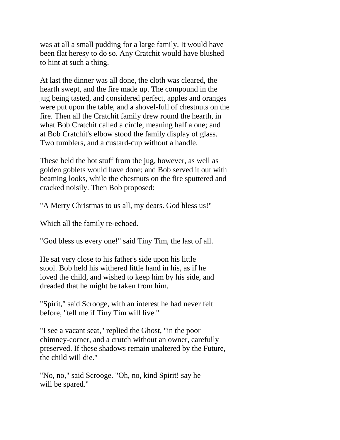was at all a small pudding for a large family. It would have been flat heresy to do so. Any Cratchit would have blushed to hint at such a thing.

At last the dinner was all done, the cloth was cleared, the hearth swept, and the fire made up. The compound in the jug being tasted, and considered perfect, apples and oranges were put upon the table, and a shovel-full of chestnuts on the fire. Then all the Cratchit family drew round the hearth, in what Bob Cratchit called a circle, meaning half a one; and at Bob Cratchit's elbow stood the family display of glass. Two tumblers, and a custard-cup without a handle.

These held the hot stuff from the jug, however, as well as golden goblets would have done; and Bob served it out with beaming looks, while the chestnuts on the fire sputtered and cracked noisily. Then Bob proposed:

"A Merry Christmas to us all, my dears. God bless us!"

Which all the family re-echoed.

"God bless us every one!" said Tiny Tim, the last of all.

He sat very close to his father's side upon his little stool. Bob held his withered little hand in his, as if he loved the child, and wished to keep him by his side, and dreaded that he might be taken from him.

"Spirit," said Scrooge, with an interest he had never felt before, "tell me if Tiny Tim will live."

"I see a vacant seat," replied the Ghost, "in the poor chimney-corner, and a crutch without an owner, carefully preserved. If these shadows remain unaltered by the Future, the child will die."

"No, no," said Scrooge. "Oh, no, kind Spirit! say he will be spared."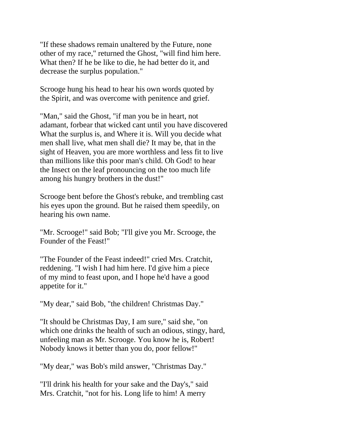"If these shadows remain unaltered by the Future, none other of my race," returned the Ghost, "will find him here. What then? If he be like to die, he had better do it, and decrease the surplus population."

Scrooge hung his head to hear his own words quoted by the Spirit, and was overcome with penitence and grief.

"Man," said the Ghost, "if man you be in heart, not adamant, forbear that wicked cant until you have discovered What the surplus is, and Where it is. Will you decide what men shall live, what men shall die? It may be, that in the sight of Heaven, you are more worthless and less fit to live than millions like this poor man's child. Oh God! to hear the Insect on the leaf pronouncing on the too much life among his hungry brothers in the dust!"

Scrooge bent before the Ghost's rebuke, and trembling cast his eyes upon the ground. But he raised them speedily, on hearing his own name.

"Mr. Scrooge!" said Bob; "I'll give you Mr. Scrooge, the Founder of the Feast!"

"The Founder of the Feast indeed!" cried Mrs. Cratchit, reddening. "I wish I had him here. I'd give him a piece of my mind to feast upon, and I hope he'd have a good appetite for it."

"My dear," said Bob, "the children! Christmas Day."

"It should be Christmas Day, I am sure," said she, "on which one drinks the health of such an odious, stingy, hard, unfeeling man as Mr. Scrooge. You know he is, Robert! Nobody knows it better than you do, poor fellow!"

"My dear," was Bob's mild answer, "Christmas Day."

"I'll drink his health for your sake and the Day's," said Mrs. Cratchit, "not for his. Long life to him! A merry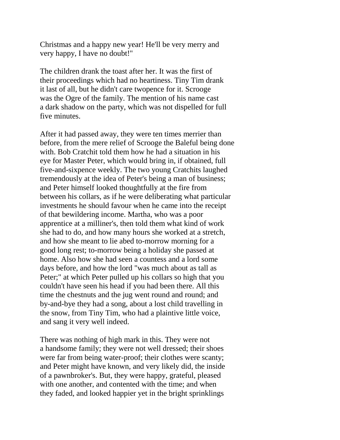Christmas and a happy new year! He'll be very merry and very happy, I have no doubt!"

The children drank the toast after her. It was the first of their proceedings which had no heartiness. Tiny Tim drank it last of all, but he didn't care twopence for it. Scrooge was the Ogre of the family. The mention of his name cast a dark shadow on the party, which was not dispelled for full five minutes.

After it had passed away, they were ten times merrier than before, from the mere relief of Scrooge the Baleful being done with. Bob Cratchit told them how he had a situation in his eye for Master Peter, which would bring in, if obtained, full five-and-sixpence weekly. The two young Cratchits laughed tremendously at the idea of Peter's being a man of business; and Peter himself looked thoughtfully at the fire from between his collars, as if he were deliberating what particular investments he should favour when he came into the receipt of that bewildering income. Martha, who was a poor apprentice at a milliner's, then told them what kind of work she had to do, and how many hours she worked at a stretch, and how she meant to lie abed to-morrow morning for a good long rest; to-morrow being a holiday she passed at home. Also how she had seen a countess and a lord some days before, and how the lord "was much about as tall as Peter;" at which Peter pulled up his collars so high that you couldn't have seen his head if you had been there. All this time the chestnuts and the jug went round and round; and by-and-bye they had a song, about a lost child travelling in the snow, from Tiny Tim, who had a plaintive little voice, and sang it very well indeed.

There was nothing of high mark in this. They were not a handsome family; they were not well dressed; their shoes were far from being water-proof; their clothes were scanty; and Peter might have known, and very likely did, the inside of a pawnbroker's. But, they were happy, grateful, pleased with one another, and contented with the time; and when they faded, and looked happier yet in the bright sprinklings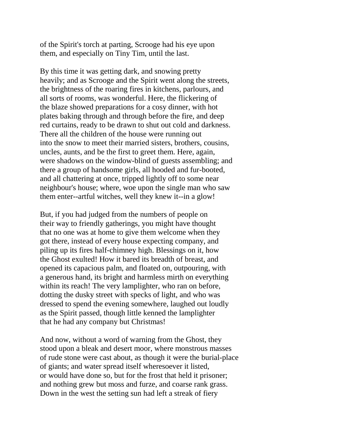of the Spirit's torch at parting, Scrooge had his eye upon them, and especially on Tiny Tim, until the last.

By this time it was getting dark, and snowing pretty heavily; and as Scrooge and the Spirit went along the streets, the brightness of the roaring fires in kitchens, parlours, and all sorts of rooms, was wonderful. Here, the flickering of the blaze showed preparations for a cosy dinner, with hot plates baking through and through before the fire, and deep red curtains, ready to be drawn to shut out cold and darkness. There all the children of the house were running out into the snow to meet their married sisters, brothers, cousins, uncles, aunts, and be the first to greet them. Here, again, were shadows on the window-blind of guests assembling; and there a group of handsome girls, all hooded and fur-booted, and all chattering at once, tripped lightly off to some near neighbour's house; where, woe upon the single man who saw them enter--artful witches, well they knew it--in a glow!

But, if you had judged from the numbers of people on their way to friendly gatherings, you might have thought that no one was at home to give them welcome when they got there, instead of every house expecting company, and piling up its fires half-chimney high. Blessings on it, how the Ghost exulted! How it bared its breadth of breast, and opened its capacious palm, and floated on, outpouring, with a generous hand, its bright and harmless mirth on everything within its reach! The very lamplighter, who ran on before, dotting the dusky street with specks of light, and who was dressed to spend the evening somewhere, laughed out loudly as the Spirit passed, though little kenned the lamplighter that he had any company but Christmas!

And now, without a word of warning from the Ghost, they stood upon a bleak and desert moor, where monstrous masses of rude stone were cast about, as though it were the burial-place of giants; and water spread itself wheresoever it listed, or would have done so, but for the frost that held it prisoner; and nothing grew but moss and furze, and coarse rank grass. Down in the west the setting sun had left a streak of fiery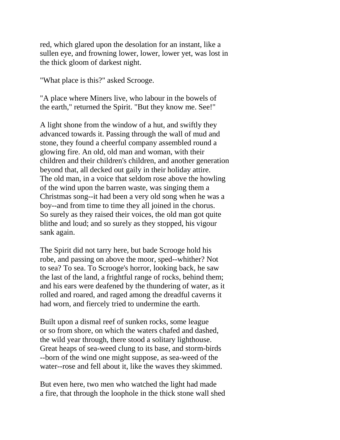red, which glared upon the desolation for an instant, like a sullen eye, and frowning lower, lower, lower yet, was lost in the thick gloom of darkest night.

"What place is this?" asked Scrooge.

"A place where Miners live, who labour in the bowels of the earth," returned the Spirit. "But they know me. See!"

A light shone from the window of a hut, and swiftly they advanced towards it. Passing through the wall of mud and stone, they found a cheerful company assembled round a glowing fire. An old, old man and woman, with their children and their children's children, and another generation beyond that, all decked out gaily in their holiday attire. The old man, in a voice that seldom rose above the howling of the wind upon the barren waste, was singing them a Christmas song--it had been a very old song when he was a boy--and from time to time they all joined in the chorus. So surely as they raised their voices, the old man got quite blithe and loud; and so surely as they stopped, his vigour sank again.

The Spirit did not tarry here, but bade Scrooge hold his robe, and passing on above the moor, sped--whither? Not to sea? To sea. To Scrooge's horror, looking back, he saw the last of the land, a frightful range of rocks, behind them; and his ears were deafened by the thundering of water, as it rolled and roared, and raged among the dreadful caverns it had worn, and fiercely tried to undermine the earth.

Built upon a dismal reef of sunken rocks, some league or so from shore, on which the waters chafed and dashed, the wild year through, there stood a solitary lighthouse. Great heaps of sea-weed clung to its base, and storm-birds --born of the wind one might suppose, as sea-weed of the water--rose and fell about it, like the waves they skimmed.

But even here, two men who watched the light had made a fire, that through the loophole in the thick stone wall shed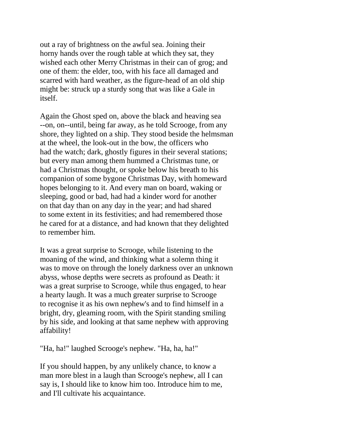out a ray of brightness on the awful sea. Joining their horny hands over the rough table at which they sat, they wished each other Merry Christmas in their can of grog; and one of them: the elder, too, with his face all damaged and scarred with hard weather, as the figure-head of an old ship might be: struck up a sturdy song that was like a Gale in itself.

Again the Ghost sped on, above the black and heaving sea --on, on--until, being far away, as he told Scrooge, from any shore, they lighted on a ship. They stood beside the helmsman at the wheel, the look-out in the bow, the officers who had the watch; dark, ghostly figures in their several stations; but every man among them hummed a Christmas tune, or had a Christmas thought, or spoke below his breath to his companion of some bygone Christmas Day, with homeward hopes belonging to it. And every man on board, waking or sleeping, good or bad, had had a kinder word for another on that day than on any day in the year; and had shared to some extent in its festivities; and had remembered those he cared for at a distance, and had known that they delighted to remember him.

It was a great surprise to Scrooge, while listening to the moaning of the wind, and thinking what a solemn thing it was to move on through the lonely darkness over an unknown abyss, whose depths were secrets as profound as Death: it was a great surprise to Scrooge, while thus engaged, to hear a hearty laugh. It was a much greater surprise to Scrooge to recognise it as his own nephew's and to find himself in a bright, dry, gleaming room, with the Spirit standing smiling by his side, and looking at that same nephew with approving affability!

"Ha, ha!" laughed Scrooge's nephew. "Ha, ha, ha!"

If you should happen, by any unlikely chance, to know a man more blest in a laugh than Scrooge's nephew, all I can say is, I should like to know him too. Introduce him to me, and I'll cultivate his acquaintance.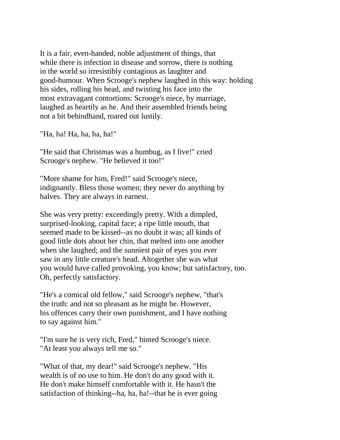It is a fair, even-handed, noble adjustment of things, that while there is infection in disease and sorrow, there is nothing in the world so irresistibly contagious as laughter and good-humour. When Scrooge's nephew laughed in this way: holding his sides, rolling his head, and twisting his face into the most extravagant contortions: Scrooge's niece, by marriage, laughed as heartily as he. And their assembled friends being not a bit behindhand, roared out lustily.

"Ha, ha! Ha, ha, ha, ha!"

"He said that Christmas was a humbug, as I live!" cried Scrooge's nephew. "He believed it too!"

"More shame for him, Fred!" said Scrooge's niece, indignantly. Bless those women; they never do anything by halves. They are always in earnest.

She was very pretty: exceedingly pretty. With a dimpled, surprised-looking, capital face; a ripe little mouth, that seemed made to be kissed--as no doubt it was; all kinds of good little dots about her chin, that melted into one another when she laughed; and the sunniest pair of eyes you ever saw in any little creature's head. Altogether she was what you would have called provoking, you know; but satisfactory, too. Oh, perfectly satisfactory.

"He's a comical old fellow," said Scrooge's nephew, "that's the truth: and not so pleasant as he might be. However, his offences carry their own punishment, and I have nothing to say against him."

"I'm sure he is very rich, Fred," hinted Scrooge's niece. "At least you always tell me so."

"What of that, my dear!" said Scrooge's nephew. "His wealth is of no use to him. He don't do any good with it. He don't make himself comfortable with it. He hasn't the satisfaction of thinking--ha, ha, ha!--that he is ever going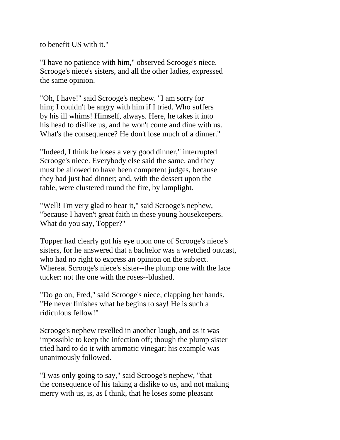to benefit US with it."

"I have no patience with him," observed Scrooge's niece. Scrooge's niece's sisters, and all the other ladies, expressed the same opinion.

"Oh, I have!" said Scrooge's nephew. "I am sorry for him; I couldn't be angry with him if I tried. Who suffers by his ill whims! Himself, always. Here, he takes it into his head to dislike us, and he won't come and dine with us. What's the consequence? He don't lose much of a dinner."

"Indeed, I think he loses a very good dinner," interrupted Scrooge's niece. Everybody else said the same, and they must be allowed to have been competent judges, because they had just had dinner; and, with the dessert upon the table, were clustered round the fire, by lamplight.

"Well! I'm very glad to hear it," said Scrooge's nephew, "because I haven't great faith in these young housekeepers. What do you say, Topper?"

Topper had clearly got his eye upon one of Scrooge's niece's sisters, for he answered that a bachelor was a wretched outcast, who had no right to express an opinion on the subject. Whereat Scrooge's niece's sister--the plump one with the lace tucker: not the one with the roses--blushed.

"Do go on, Fred," said Scrooge's niece, clapping her hands. "He never finishes what he begins to say! He is such a ridiculous fellow!"

Scrooge's nephew revelled in another laugh, and as it was impossible to keep the infection off; though the plump sister tried hard to do it with aromatic vinegar; his example was unanimously followed.

"I was only going to say," said Scrooge's nephew, "that the consequence of his taking a dislike to us, and not making merry with us, is, as I think, that he loses some pleasant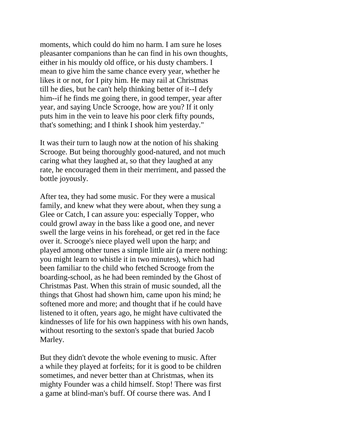moments, which could do him no harm. I am sure he loses pleasanter companions than he can find in his own thoughts, either in his mouldy old office, or his dusty chambers. I mean to give him the same chance every year, whether he likes it or not, for I pity him. He may rail at Christmas till he dies, but he can't help thinking better of it--I defy him--if he finds me going there, in good temper, year after year, and saying Uncle Scrooge, how are you? If it only puts him in the vein to leave his poor clerk fifty pounds, that's something; and I think I shook him yesterday."

It was their turn to laugh now at the notion of his shaking Scrooge. But being thoroughly good-natured, and not much caring what they laughed at, so that they laughed at any rate, he encouraged them in their merriment, and passed the bottle joyously.

After tea, they had some music. For they were a musical family, and knew what they were about, when they sung a Glee or Catch, I can assure you: especially Topper, who could growl away in the bass like a good one, and never swell the large veins in his forehead, or get red in the face over it. Scrooge's niece played well upon the harp; and played among other tunes a simple little air (a mere nothing: you might learn to whistle it in two minutes), which had been familiar to the child who fetched Scrooge from the boarding-school, as he had been reminded by the Ghost of Christmas Past. When this strain of music sounded, all the things that Ghost had shown him, came upon his mind; he softened more and more; and thought that if he could have listened to it often, years ago, he might have cultivated the kindnesses of life for his own happiness with his own hands, without resorting to the sexton's spade that buried Jacob Marley.

But they didn't devote the whole evening to music. After a while they played at forfeits; for it is good to be children sometimes, and never better than at Christmas, when its mighty Founder was a child himself. Stop! There was first a game at blind-man's buff. Of course there was. And I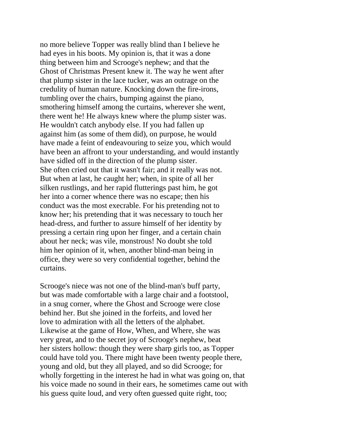no more believe Topper was really blind than I believe he had eyes in his boots. My opinion is, that it was a done thing between him and Scrooge's nephew; and that the Ghost of Christmas Present knew it. The way he went after that plump sister in the lace tucker, was an outrage on the credulity of human nature. Knocking down the fire-irons, tumbling over the chairs, bumping against the piano, smothering himself among the curtains, wherever she went, there went he! He always knew where the plump sister was. He wouldn't catch anybody else. If you had fallen up against him (as some of them did), on purpose, he would have made a feint of endeavouring to seize you, which would have been an affront to your understanding, and would instantly have sidled off in the direction of the plump sister. She often cried out that it wasn't fair; and it really was not. But when at last, he caught her; when, in spite of all her silken rustlings, and her rapid flutterings past him, he got her into a corner whence there was no escape; then his conduct was the most execrable. For his pretending not to know her; his pretending that it was necessary to touch her head-dress, and further to assure himself of her identity by pressing a certain ring upon her finger, and a certain chain about her neck; was vile, monstrous! No doubt she told him her opinion of it, when, another blind-man being in office, they were so very confidential together, behind the curtains.

Scrooge's niece was not one of the blind-man's buff party, but was made comfortable with a large chair and a footstool, in a snug corner, where the Ghost and Scrooge were close behind her. But she joined in the forfeits, and loved her love to admiration with all the letters of the alphabet. Likewise at the game of How, When, and Where, she was very great, and to the secret joy of Scrooge's nephew, beat her sisters hollow: though they were sharp girls too, as Topper could have told you. There might have been twenty people there, young and old, but they all played, and so did Scrooge; for wholly forgetting in the interest he had in what was going on, that his voice made no sound in their ears, he sometimes came out with his guess quite loud, and very often guessed quite right, too;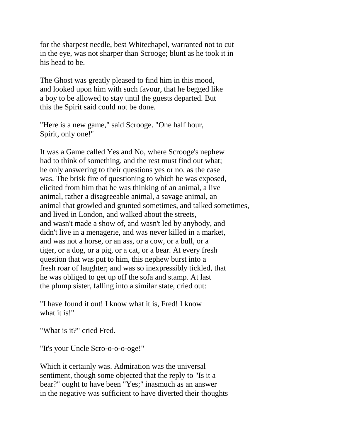for the sharpest needle, best Whitechapel, warranted not to cut in the eye, was not sharper than Scrooge; blunt as he took it in his head to be.

The Ghost was greatly pleased to find him in this mood, and looked upon him with such favour, that he begged like a boy to be allowed to stay until the guests departed. But this the Spirit said could not be done.

"Here is a new game," said Scrooge. "One half hour, Spirit, only one!"

It was a Game called Yes and No, where Scrooge's nephew had to think of something, and the rest must find out what; he only answering to their questions yes or no, as the case was. The brisk fire of questioning to which he was exposed, elicited from him that he was thinking of an animal, a live animal, rather a disagreeable animal, a savage animal, an animal that growled and grunted sometimes, and talked sometimes, and lived in London, and walked about the streets, and wasn't made a show of, and wasn't led by anybody, and didn't live in a menagerie, and was never killed in a market, and was not a horse, or an ass, or a cow, or a bull, or a tiger, or a dog, or a pig, or a cat, or a bear. At every fresh question that was put to him, this nephew burst into a fresh roar of laughter; and was so inexpressibly tickled, that he was obliged to get up off the sofa and stamp. At last the plump sister, falling into a similar state, cried out:

"I have found it out! I know what it is, Fred! I know what it is!"

"What is it?" cried Fred.

"It's your Uncle Scro-o-o-o-oge!"

Which it certainly was. Admiration was the universal sentiment, though some objected that the reply to "Is it a bear?" ought to have been "Yes;" inasmuch as an answer in the negative was sufficient to have diverted their thoughts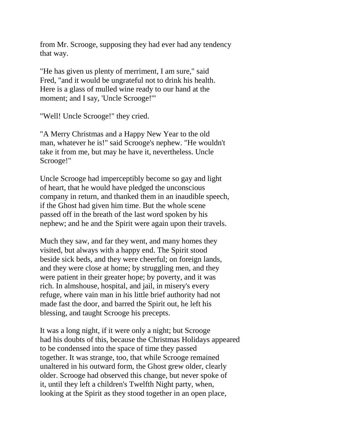from Mr. Scrooge, supposing they had ever had any tendency that way.

"He has given us plenty of merriment, I am sure," said Fred, "and it would be ungrateful not to drink his health. Here is a glass of mulled wine ready to our hand at the moment; and I say, 'Uncle Scrooge!'"

"Well! Uncle Scrooge!" they cried.

"A Merry Christmas and a Happy New Year to the old man, whatever he is!" said Scrooge's nephew. "He wouldn't take it from me, but may he have it, nevertheless. Uncle Scrooge!"

Uncle Scrooge had imperceptibly become so gay and light of heart, that he would have pledged the unconscious company in return, and thanked them in an inaudible speech, if the Ghost had given him time. But the whole scene passed off in the breath of the last word spoken by his nephew; and he and the Spirit were again upon their travels.

Much they saw, and far they went, and many homes they visited, but always with a happy end. The Spirit stood beside sick beds, and they were cheerful; on foreign lands, and they were close at home; by struggling men, and they were patient in their greater hope; by poverty, and it was rich. In almshouse, hospital, and jail, in misery's every refuge, where vain man in his little brief authority had not made fast the door, and barred the Spirit out, he left his blessing, and taught Scrooge his precepts.

It was a long night, if it were only a night; but Scrooge had his doubts of this, because the Christmas Holidays appeared to be condensed into the space of time they passed together. It was strange, too, that while Scrooge remained unaltered in his outward form, the Ghost grew older, clearly older. Scrooge had observed this change, but never spoke of it, until they left a children's Twelfth Night party, when, looking at the Spirit as they stood together in an open place,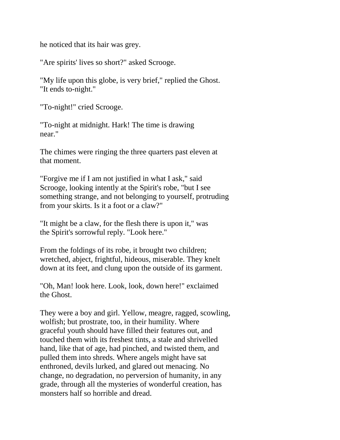he noticed that its hair was grey.

"Are spirits' lives so short?" asked Scrooge.

"My life upon this globe, is very brief," replied the Ghost. "It ends to-night."

"To-night!" cried Scrooge.

"To-night at midnight. Hark! The time is drawing near."

The chimes were ringing the three quarters past eleven at that moment.

"Forgive me if I am not justified in what I ask," said Scrooge, looking intently at the Spirit's robe, "but I see something strange, and not belonging to yourself, protruding from your skirts. Is it a foot or a claw?"

"It might be a claw, for the flesh there is upon it," was the Spirit's sorrowful reply. "Look here."

From the foldings of its robe, it brought two children; wretched, abject, frightful, hideous, miserable. They knelt down at its feet, and clung upon the outside of its garment.

"Oh, Man! look here. Look, look, down here!" exclaimed the Ghost.

They were a boy and girl. Yellow, meagre, ragged, scowling, wolfish; but prostrate, too, in their humility. Where graceful youth should have filled their features out, and touched them with its freshest tints, a stale and shrivelled hand, like that of age, had pinched, and twisted them, and pulled them into shreds. Where angels might have sat enthroned, devils lurked, and glared out menacing. No change, no degradation, no perversion of humanity, in any grade, through all the mysteries of wonderful creation, has monsters half so horrible and dread.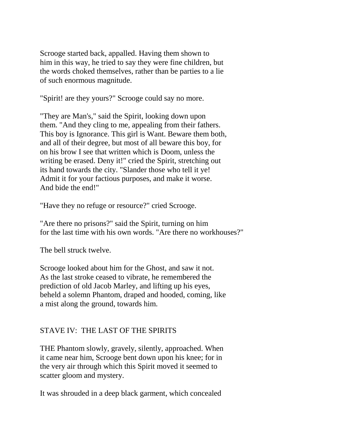Scrooge started back, appalled. Having them shown to him in this way, he tried to say they were fine children, but the words choked themselves, rather than be parties to a lie of such enormous magnitude.

"Spirit! are they yours?" Scrooge could say no more.

"They are Man's," said the Spirit, looking down upon them. "And they cling to me, appealing from their fathers. This boy is Ignorance. This girl is Want. Beware them both, and all of their degree, but most of all beware this boy, for on his brow I see that written which is Doom, unless the writing be erased. Deny it!" cried the Spirit, stretching out its hand towards the city. "Slander those who tell it ye! Admit it for your factious purposes, and make it worse. And bide the end!"

"Have they no refuge or resource?" cried Scrooge.

"Are there no prisons?" said the Spirit, turning on him for the last time with his own words. "Are there no workhouses?"

The bell struck twelve.

Scrooge looked about him for the Ghost, and saw it not. As the last stroke ceased to vibrate, he remembered the prediction of old Jacob Marley, and lifting up his eyes, beheld a solemn Phantom, draped and hooded, coming, like a mist along the ground, towards him.

## STAVE IV: THE LAST OF THE SPIRITS

THE Phantom slowly, gravely, silently, approached. When it came near him, Scrooge bent down upon his knee; for in the very air through which this Spirit moved it seemed to scatter gloom and mystery.

It was shrouded in a deep black garment, which concealed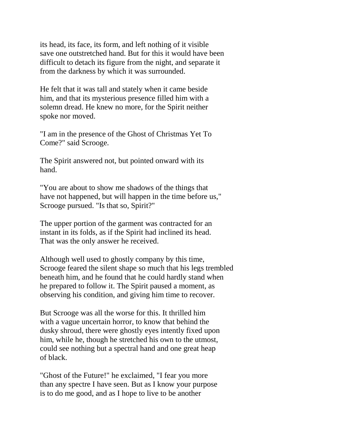its head, its face, its form, and left nothing of it visible save one outstretched hand. But for this it would have been difficult to detach its figure from the night, and separate it from the darkness by which it was surrounded.

He felt that it was tall and stately when it came beside him, and that its mysterious presence filled him with a solemn dread. He knew no more, for the Spirit neither spoke nor moved.

"I am in the presence of the Ghost of Christmas Yet To Come?" said Scrooge.

The Spirit answered not, but pointed onward with its hand.

"You are about to show me shadows of the things that have not happened, but will happen in the time before us," Scrooge pursued. "Is that so, Spirit?"

The upper portion of the garment was contracted for an instant in its folds, as if the Spirit had inclined its head. That was the only answer he received.

Although well used to ghostly company by this time, Scrooge feared the silent shape so much that his legs trembled beneath him, and he found that he could hardly stand when he prepared to follow it. The Spirit paused a moment, as observing his condition, and giving him time to recover.

But Scrooge was all the worse for this. It thrilled him with a vague uncertain horror, to know that behind the dusky shroud, there were ghostly eyes intently fixed upon him, while he, though he stretched his own to the utmost, could see nothing but a spectral hand and one great heap of black.

"Ghost of the Future!" he exclaimed, "I fear you more than any spectre I have seen. But as I know your purpose is to do me good, and as I hope to live to be another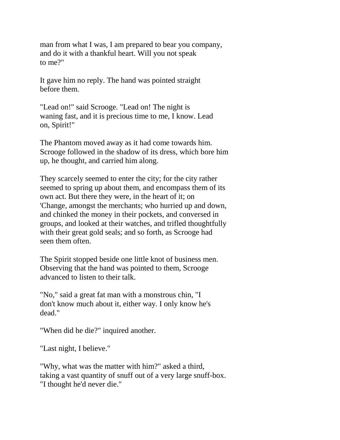man from what I was, I am prepared to bear you company, and do it with a thankful heart. Will you not speak to me?"

It gave him no reply. The hand was pointed straight before them.

"Lead on!" said Scrooge. "Lead on! The night is waning fast, and it is precious time to me, I know. Lead on, Spirit!"

The Phantom moved away as it had come towards him. Scrooge followed in the shadow of its dress, which bore him up, he thought, and carried him along.

They scarcely seemed to enter the city; for the city rather seemed to spring up about them, and encompass them of its own act. But there they were, in the heart of it; on 'Change, amongst the merchants; who hurried up and down, and chinked the money in their pockets, and conversed in groups, and looked at their watches, and trifled thoughtfully with their great gold seals; and so forth, as Scrooge had seen them often.

The Spirit stopped beside one little knot of business men. Observing that the hand was pointed to them, Scrooge advanced to listen to their talk.

"No," said a great fat man with a monstrous chin, "I don't know much about it, either way. I only know he's dead."

"When did he die?" inquired another.

"Last night, I believe."

"Why, what was the matter with him?" asked a third, taking a vast quantity of snuff out of a very large snuff-box. "I thought he'd never die."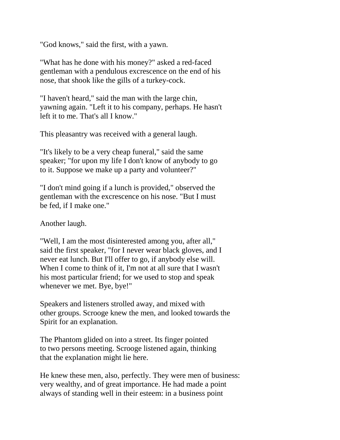"God knows," said the first, with a yawn.

"What has he done with his money?" asked a red-faced gentleman with a pendulous excrescence on the end of his nose, that shook like the gills of a turkey-cock.

"I haven't heard," said the man with the large chin, yawning again. "Left it to his company, perhaps. He hasn't left it to me. That's all I know."

This pleasantry was received with a general laugh.

"It's likely to be a very cheap funeral," said the same speaker; "for upon my life I don't know of anybody to go to it. Suppose we make up a party and volunteer?"

"I don't mind going if a lunch is provided," observed the gentleman with the excrescence on his nose. "But I must be fed, if I make one."

Another laugh.

"Well, I am the most disinterested among you, after all," said the first speaker, "for I never wear black gloves, and I never eat lunch. But I'll offer to go, if anybody else will. When I come to think of it, I'm not at all sure that I wasn't his most particular friend; for we used to stop and speak whenever we met. Bye, bye!"

Speakers and listeners strolled away, and mixed with other groups. Scrooge knew the men, and looked towards the Spirit for an explanation.

The Phantom glided on into a street. Its finger pointed to two persons meeting. Scrooge listened again, thinking that the explanation might lie here.

He knew these men, also, perfectly. They were men of business: very wealthy, and of great importance. He had made a point always of standing well in their esteem: in a business point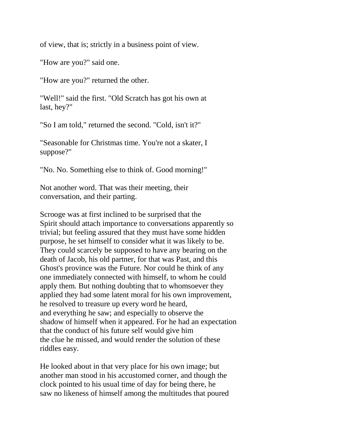of view, that is; strictly in a business point of view.

"How are you?" said one.

"How are you?" returned the other.

"Well!" said the first. "Old Scratch has got his own at last, hey?"

"So I am told," returned the second. "Cold, isn't it?"

"Seasonable for Christmas time. You're not a skater, I suppose?"

"No. No. Something else to think of. Good morning!"

Not another word. That was their meeting, their conversation, and their parting.

Scrooge was at first inclined to be surprised that the Spirit should attach importance to conversations apparently so trivial; but feeling assured that they must have some hidden purpose, he set himself to consider what it was likely to be. They could scarcely be supposed to have any bearing on the death of Jacob, his old partner, for that was Past, and this Ghost's province was the Future. Nor could he think of any one immediately connected with himself, to whom he could apply them. But nothing doubting that to whomsoever they applied they had some latent moral for his own improvement, he resolved to treasure up every word he heard, and everything he saw; and especially to observe the shadow of himself when it appeared. For he had an expectation that the conduct of his future self would give him the clue he missed, and would render the solution of these riddles easy.

He looked about in that very place for his own image; but another man stood in his accustomed corner, and though the clock pointed to his usual time of day for being there, he saw no likeness of himself among the multitudes that poured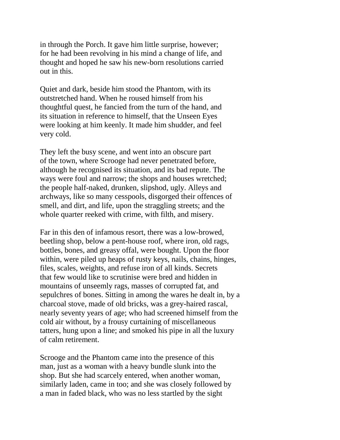in through the Porch. It gave him little surprise, however; for he had been revolving in his mind a change of life, and thought and hoped he saw his new-born resolutions carried out in this.

Quiet and dark, beside him stood the Phantom, with its outstretched hand. When he roused himself from his thoughtful quest, he fancied from the turn of the hand, and its situation in reference to himself, that the Unseen Eyes were looking at him keenly. It made him shudder, and feel very cold.

They left the busy scene, and went into an obscure part of the town, where Scrooge had never penetrated before, although he recognised its situation, and its bad repute. The ways were foul and narrow; the shops and houses wretched; the people half-naked, drunken, slipshod, ugly. Alleys and archways, like so many cesspools, disgorged their offences of smell, and dirt, and life, upon the straggling streets; and the whole quarter reeked with crime, with filth, and misery.

Far in this den of infamous resort, there was a low-browed, beetling shop, below a pent-house roof, where iron, old rags, bottles, bones, and greasy offal, were bought. Upon the floor within, were piled up heaps of rusty keys, nails, chains, hinges, files, scales, weights, and refuse iron of all kinds. Secrets that few would like to scrutinise were bred and hidden in mountains of unseemly rags, masses of corrupted fat, and sepulchres of bones. Sitting in among the wares he dealt in, by a charcoal stove, made of old bricks, was a grey-haired rascal, nearly seventy years of age; who had screened himself from the cold air without, by a frousy curtaining of miscellaneous tatters, hung upon a line; and smoked his pipe in all the luxury of calm retirement.

Scrooge and the Phantom came into the presence of this man, just as a woman with a heavy bundle slunk into the shop. But she had scarcely entered, when another woman, similarly laden, came in too; and she was closely followed by a man in faded black, who was no less startled by the sight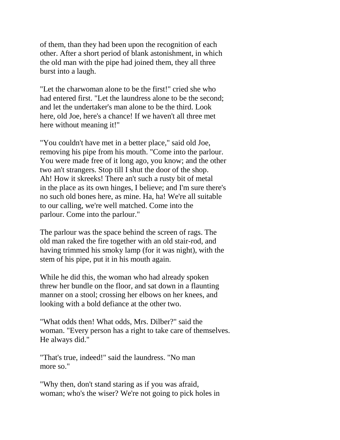of them, than they had been upon the recognition of each other. After a short period of blank astonishment, in which the old man with the pipe had joined them, they all three burst into a laugh.

"Let the charwoman alone to be the first!" cried she who had entered first. "Let the laundress alone to be the second; and let the undertaker's man alone to be the third. Look here, old Joe, here's a chance! If we haven't all three met here without meaning it!"

"You couldn't have met in a better place," said old Joe, removing his pipe from his mouth. "Come into the parlour. You were made free of it long ago, you know; and the other two an't strangers. Stop till I shut the door of the shop. Ah! How it skreeks! There an't such a rusty bit of metal in the place as its own hinges, I believe; and I'm sure there's no such old bones here, as mine. Ha, ha! We're all suitable to our calling, we're well matched. Come into the parlour. Come into the parlour."

The parlour was the space behind the screen of rags. The old man raked the fire together with an old stair-rod, and having trimmed his smoky lamp (for it was night), with the stem of his pipe, put it in his mouth again.

While he did this, the woman who had already spoken threw her bundle on the floor, and sat down in a flaunting manner on a stool; crossing her elbows on her knees, and looking with a bold defiance at the other two.

"What odds then! What odds, Mrs. Dilber?" said the woman. "Every person has a right to take care of themselves. He always did."

"That's true, indeed!" said the laundress. "No man more so."

"Why then, don't stand staring as if you was afraid, woman; who's the wiser? We're not going to pick holes in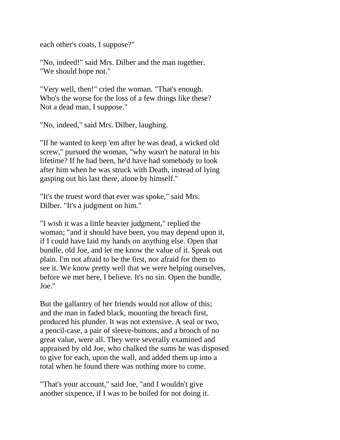each other's coats, I suppose?"

"No, indeed!" said Mrs. Dilber and the man together. "We should hope not."

"Very well, then!" cried the woman. "That's enough. Who's the worse for the loss of a few things like these? Not a dead man, I suppose."

"No, indeed," said Mrs. Dilber, laughing.

"If he wanted to keep 'em after he was dead, a wicked old screw," pursued the woman, "why wasn't he natural in his lifetime? If he had been, he'd have had somebody to look after him when he was struck with Death, instead of lying gasping out his last there, alone by himself."

"It's the truest word that ever was spoke," said Mrs. Dilber. "It's a judgment on him."

"I wish it was a little heavier judgment," replied the woman; "and it should have been, you may depend upon it, if I could have laid my hands on anything else. Open that bundle, old Joe, and let me know the value of it. Speak out plain. I'm not afraid to be the first, nor afraid for them to see it. We know pretty well that we were helping ourselves, before we met here, I believe. It's no sin. Open the bundle, Joe."

But the gallantry of her friends would not allow of this; and the man in faded black, mounting the breach first, produced his plunder. It was not extensive. A seal or two, a pencil-case, a pair of sleeve-buttons, and a brooch of no great value, were all. They were severally examined and appraised by old Joe, who chalked the sums he was disposed to give for each, upon the wall, and added them up into a total when he found there was nothing more to come.

"That's your account," said Joe, "and I wouldn't give another sixpence, if I was to be boiled for not doing it.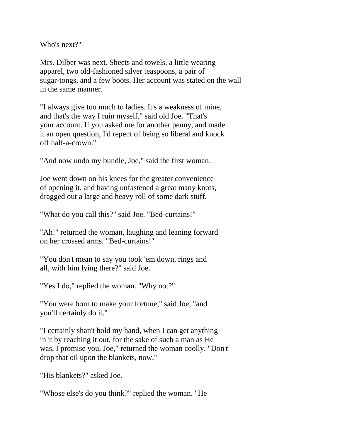Who's next?"

Mrs. Dilber was next. Sheets and towels, a little wearing apparel, two old-fashioned silver teaspoons, a pair of sugar-tongs, and a few boots. Her account was stated on the wall in the same manner.

"I always give too much to ladies. It's a weakness of mine, and that's the way I ruin myself," said old Joe. "That's your account. If you asked me for another penny, and made it an open question, I'd repent of being so liberal and knock off half-a-crown."

"And now undo my bundle, Joe," said the first woman.

Joe went down on his knees for the greater convenience of opening it, and having unfastened a great many knots, dragged out a large and heavy roll of some dark stuff.

"What do you call this?" said Joe. "Bed-curtains!"

"Ah!" returned the woman, laughing and leaning forward on her crossed arms. "Bed-curtains!"

"You don't mean to say you took 'em down, rings and all, with him lying there?" said Joe.

"Yes I do," replied the woman. "Why not?"

"You were born to make your fortune," said Joe, "and you'll certainly do it."

"I certainly shan't hold my hand, when I can get anything in it by reaching it out, for the sake of such a man as He was, I promise you, Joe," returned the woman coolly. "Don't drop that oil upon the blankets, now."

"His blankets?" asked Joe.

"Whose else's do you think?" replied the woman. "He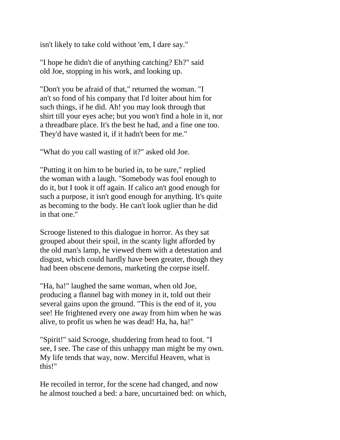isn't likely to take cold without 'em, I dare say."

"I hope he didn't die of anything catching? Eh?" said old Joe, stopping in his work, and looking up.

"Don't you be afraid of that," returned the woman. "I an't so fond of his company that I'd loiter about him for such things, if he did. Ah! you may look through that shirt till your eyes ache; but you won't find a hole in it, nor a threadbare place. It's the best he had, and a fine one too. They'd have wasted it, if it hadn't been for me."

"What do you call wasting of it?" asked old Joe.

"Putting it on him to be buried in, to be sure," replied the woman with a laugh. "Somebody was fool enough to do it, but I took it off again. If calico an't good enough for such a purpose, it isn't good enough for anything. It's quite as becoming to the body. He can't look uglier than he did in that one."

Scrooge listened to this dialogue in horror. As they sat grouped about their spoil, in the scanty light afforded by the old man's lamp, he viewed them with a detestation and disgust, which could hardly have been greater, though they had been obscene demons, marketing the corpse itself.

"Ha, ha!" laughed the same woman, when old Joe, producing a flannel bag with money in it, told out their several gains upon the ground. "This is the end of it, you see! He frightened every one away from him when he was alive, to profit us when he was dead! Ha, ha, ha!"

"Spirit!" said Scrooge, shuddering from head to foot. "I see, I see. The case of this unhappy man might be my own. My life tends that way, now. Merciful Heaven, what is this!"

He recoiled in terror, for the scene had changed, and now he almost touched a bed: a bare, uncurtained bed: on which,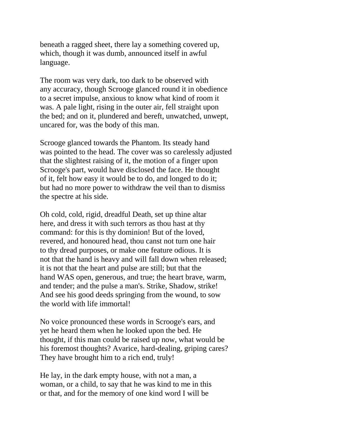beneath a ragged sheet, there lay a something covered up, which, though it was dumb, announced itself in awful language.

The room was very dark, too dark to be observed with any accuracy, though Scrooge glanced round it in obedience to a secret impulse, anxious to know what kind of room it was. A pale light, rising in the outer air, fell straight upon the bed; and on it, plundered and bereft, unwatched, unwept, uncared for, was the body of this man.

Scrooge glanced towards the Phantom. Its steady hand was pointed to the head. The cover was so carelessly adjusted that the slightest raising of it, the motion of a finger upon Scrooge's part, would have disclosed the face. He thought of it, felt how easy it would be to do, and longed to do it; but had no more power to withdraw the veil than to dismiss the spectre at his side.

Oh cold, cold, rigid, dreadful Death, set up thine altar here, and dress it with such terrors as thou hast at thy command: for this is thy dominion! But of the loved, revered, and honoured head, thou canst not turn one hair to thy dread purposes, or make one feature odious. It is not that the hand is heavy and will fall down when released; it is not that the heart and pulse are still; but that the hand WAS open, generous, and true; the heart brave, warm, and tender; and the pulse a man's. Strike, Shadow, strike! And see his good deeds springing from the wound, to sow the world with life immortal!

No voice pronounced these words in Scrooge's ears, and yet he heard them when he looked upon the bed. He thought, if this man could be raised up now, what would be his foremost thoughts? Avarice, hard-dealing, griping cares? They have brought him to a rich end, truly!

He lay, in the dark empty house, with not a man, a woman, or a child, to say that he was kind to me in this or that, and for the memory of one kind word I will be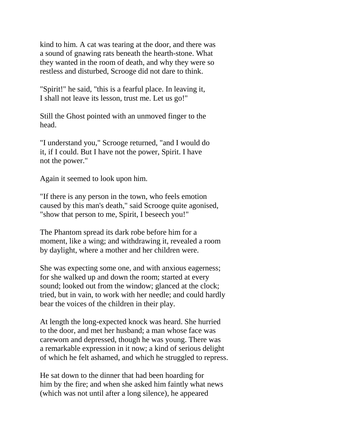kind to him. A cat was tearing at the door, and there was a sound of gnawing rats beneath the hearth-stone. What they wanted in the room of death, and why they were so restless and disturbed, Scrooge did not dare to think.

"Spirit!" he said, "this is a fearful place. In leaving it, I shall not leave its lesson, trust me. Let us go!"

Still the Ghost pointed with an unmoved finger to the head.

"I understand you," Scrooge returned, "and I would do it, if I could. But I have not the power, Spirit. I have not the power."

Again it seemed to look upon him.

"If there is any person in the town, who feels emotion caused by this man's death," said Scrooge quite agonised, "show that person to me, Spirit, I beseech you!"

The Phantom spread its dark robe before him for a moment, like a wing; and withdrawing it, revealed a room by daylight, where a mother and her children were.

She was expecting some one, and with anxious eagerness; for she walked up and down the room; started at every sound; looked out from the window; glanced at the clock; tried, but in vain, to work with her needle; and could hardly bear the voices of the children in their play.

At length the long-expected knock was heard. She hurried to the door, and met her husband; a man whose face was careworn and depressed, though he was young. There was a remarkable expression in it now; a kind of serious delight of which he felt ashamed, and which he struggled to repress.

He sat down to the dinner that had been hoarding for him by the fire; and when she asked him faintly what news (which was not until after a long silence), he appeared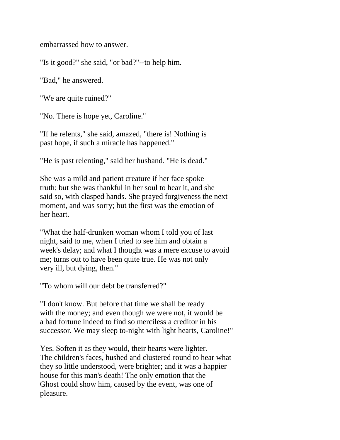embarrassed how to answer.

"Is it good?" she said, "or bad?"--to help him.

"Bad," he answered.

"We are quite ruined?"

"No. There is hope yet, Caroline."

"If he relents," she said, amazed, "there is! Nothing is past hope, if such a miracle has happened."

"He is past relenting," said her husband. "He is dead."

She was a mild and patient creature if her face spoke truth; but she was thankful in her soul to hear it, and she said so, with clasped hands. She prayed forgiveness the next moment, and was sorry; but the first was the emotion of her heart.

"What the half-drunken woman whom I told you of last night, said to me, when I tried to see him and obtain a week's delay; and what I thought was a mere excuse to avoid me; turns out to have been quite true. He was not only very ill, but dying, then."

"To whom will our debt be transferred?"

"I don't know. But before that time we shall be ready with the money; and even though we were not, it would be a bad fortune indeed to find so merciless a creditor in his successor. We may sleep to-night with light hearts, Caroline!"

Yes. Soften it as they would, their hearts were lighter. The children's faces, hushed and clustered round to hear what they so little understood, were brighter; and it was a happier house for this man's death! The only emotion that the Ghost could show him, caused by the event, was one of pleasure.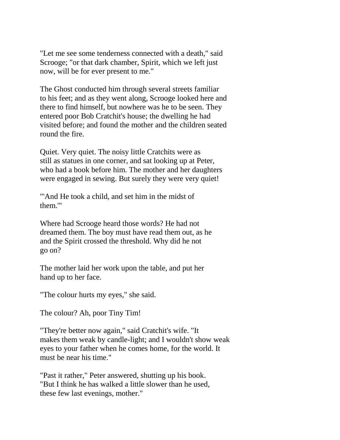"Let me see some tenderness connected with a death," said Scrooge; "or that dark chamber, Spirit, which we left just now, will be for ever present to me."

The Ghost conducted him through several streets familiar to his feet; and as they went along, Scrooge looked here and there to find himself, but nowhere was he to be seen. They entered poor Bob Cratchit's house; the dwelling he had visited before; and found the mother and the children seated round the fire.

Quiet. Very quiet. The noisy little Cratchits were as still as statues in one corner, and sat looking up at Peter, who had a book before him. The mother and her daughters were engaged in sewing. But surely they were very quiet!

"'And He took a child, and set him in the midst of them.'"

Where had Scrooge heard those words? He had not dreamed them. The boy must have read them out, as he and the Spirit crossed the threshold. Why did he not go on?

The mother laid her work upon the table, and put her hand up to her face.

"The colour hurts my eyes," she said.

The colour? Ah, poor Tiny Tim!

"They're better now again," said Cratchit's wife. "It makes them weak by candle-light; and I wouldn't show weak eyes to your father when he comes home, for the world. It must be near his time."

"Past it rather," Peter answered, shutting up his book. "But I think he has walked a little slower than he used, these few last evenings, mother."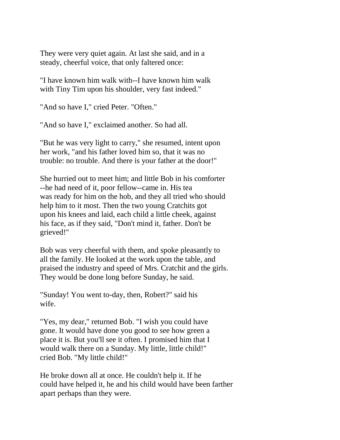They were very quiet again. At last she said, and in a steady, cheerful voice, that only faltered once:

"I have known him walk with--I have known him walk with Tiny Tim upon his shoulder, very fast indeed."

"And so have I," cried Peter. "Often."

"And so have I," exclaimed another. So had all.

"But he was very light to carry," she resumed, intent upon her work, "and his father loved him so, that it was no trouble: no trouble. And there is your father at the door!"

She hurried out to meet him; and little Bob in his comforter --he had need of it, poor fellow--came in. His tea was ready for him on the hob, and they all tried who should help him to it most. Then the two young Cratchits got upon his knees and laid, each child a little cheek, against his face, as if they said, "Don't mind it, father. Don't be grieved!"

Bob was very cheerful with them, and spoke pleasantly to all the family. He looked at the work upon the table, and praised the industry and speed of Mrs. Cratchit and the girls. They would be done long before Sunday, he said.

"Sunday! You went to-day, then, Robert?" said his wife.

"Yes, my dear," returned Bob. "I wish you could have gone. It would have done you good to see how green a place it is. But you'll see it often. I promised him that I would walk there on a Sunday. My little, little child!" cried Bob. "My little child!"

He broke down all at once. He couldn't help it. If he could have helped it, he and his child would have been farther apart perhaps than they were.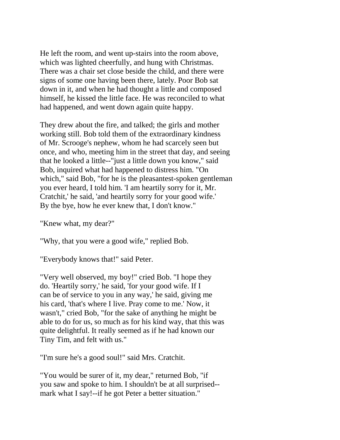He left the room, and went up-stairs into the room above, which was lighted cheerfully, and hung with Christmas. There was a chair set close beside the child, and there were signs of some one having been there, lately. Poor Bob sat down in it, and when he had thought a little and composed himself, he kissed the little face. He was reconciled to what had happened, and went down again quite happy.

They drew about the fire, and talked; the girls and mother working still. Bob told them of the extraordinary kindness of Mr. Scrooge's nephew, whom he had scarcely seen but once, and who, meeting him in the street that day, and seeing that he looked a little--"just a little down you know," said Bob, inquired what had happened to distress him. "On which," said Bob, "for he is the pleasantest-spoken gentleman you ever heard, I told him. 'I am heartily sorry for it, Mr. Cratchit,' he said, 'and heartily sorry for your good wife.' By the bye, how he ever knew that, I don't know."

"Knew what, my dear?"

"Why, that you were a good wife," replied Bob.

"Everybody knows that!" said Peter.

"Very well observed, my boy!" cried Bob. "I hope they do. 'Heartily sorry,' he said, 'for your good wife. If I can be of service to you in any way,' he said, giving me his card, 'that's where I live. Pray come to me.' Now, it wasn't," cried Bob, "for the sake of anything he might be able to do for us, so much as for his kind way, that this was quite delightful. It really seemed as if he had known our Tiny Tim, and felt with us."

"I'm sure he's a good soul!" said Mrs. Cratchit.

"You would be surer of it, my dear," returned Bob, "if you saw and spoke to him. I shouldn't be at all surprised- mark what I say!--if he got Peter a better situation."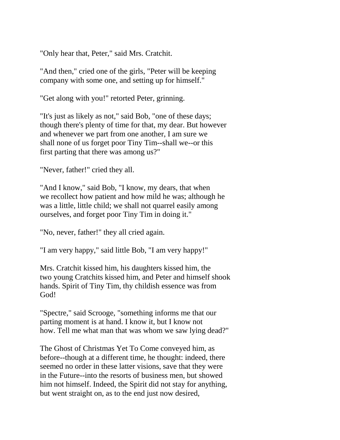"Only hear that, Peter," said Mrs. Cratchit.

"And then," cried one of the girls, "Peter will be keeping company with some one, and setting up for himself."

"Get along with you!" retorted Peter, grinning.

"It's just as likely as not," said Bob, "one of these days; though there's plenty of time for that, my dear. But however and whenever we part from one another, I am sure we shall none of us forget poor Tiny Tim--shall we--or this first parting that there was among us?"

"Never, father!" cried they all.

"And I know," said Bob, "I know, my dears, that when we recollect how patient and how mild he was; although he was a little, little child; we shall not quarrel easily among ourselves, and forget poor Tiny Tim in doing it."

"No, never, father!" they all cried again.

"I am very happy," said little Bob, "I am very happy!"

Mrs. Cratchit kissed him, his daughters kissed him, the two young Cratchits kissed him, and Peter and himself shook hands. Spirit of Tiny Tim, thy childish essence was from God!

"Spectre," said Scrooge, "something informs me that our parting moment is at hand. I know it, but I know not how. Tell me what man that was whom we saw lying dead?"

The Ghost of Christmas Yet To Come conveyed him, as before--though at a different time, he thought: indeed, there seemed no order in these latter visions, save that they were in the Future--into the resorts of business men, but showed him not himself. Indeed, the Spirit did not stay for anything, but went straight on, as to the end just now desired,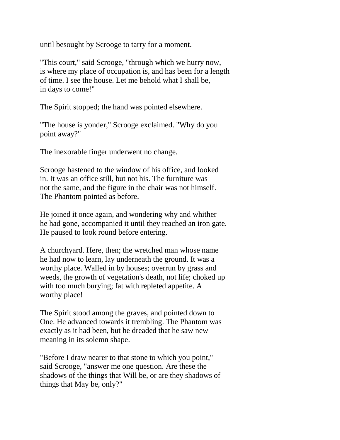until besought by Scrooge to tarry for a moment.

"This court," said Scrooge, "through which we hurry now, is where my place of occupation is, and has been for a length of time. I see the house. Let me behold what I shall be, in days to come!"

The Spirit stopped; the hand was pointed elsewhere.

"The house is yonder," Scrooge exclaimed. "Why do you point away?"

The inexorable finger underwent no change.

Scrooge hastened to the window of his office, and looked in. It was an office still, but not his. The furniture was not the same, and the figure in the chair was not himself. The Phantom pointed as before.

He joined it once again, and wondering why and whither he had gone, accompanied it until they reached an iron gate. He paused to look round before entering.

A churchyard. Here, then; the wretched man whose name he had now to learn, lay underneath the ground. It was a worthy place. Walled in by houses; overrun by grass and weeds, the growth of vegetation's death, not life; choked up with too much burying; fat with repleted appetite. A worthy place!

The Spirit stood among the graves, and pointed down to One. He advanced towards it trembling. The Phantom was exactly as it had been, but he dreaded that he saw new meaning in its solemn shape.

"Before I draw nearer to that stone to which you point," said Scrooge, "answer me one question. Are these the shadows of the things that Will be, or are they shadows of things that May be, only?"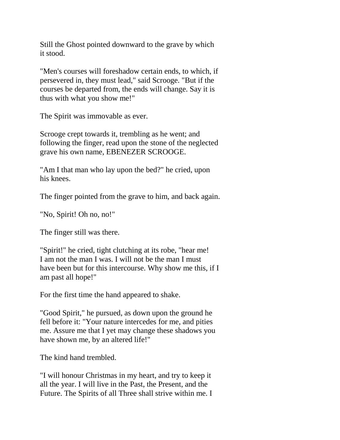Still the Ghost pointed downward to the grave by which it stood.

"Men's courses will foreshadow certain ends, to which, if persevered in, they must lead," said Scrooge. "But if the courses be departed from, the ends will change. Say it is thus with what you show me!"

The Spirit was immovable as ever.

Scrooge crept towards it, trembling as he went; and following the finger, read upon the stone of the neglected grave his own name, EBENEZER SCROOGE.

"Am I that man who lay upon the bed?" he cried, upon his knees.

The finger pointed from the grave to him, and back again.

"No, Spirit! Oh no, no!"

The finger still was there.

"Spirit!" he cried, tight clutching at its robe, "hear me! I am not the man I was. I will not be the man I must have been but for this intercourse. Why show me this, if I am past all hope!"

For the first time the hand appeared to shake.

"Good Spirit," he pursued, as down upon the ground he fell before it: "Your nature intercedes for me, and pities me. Assure me that I yet may change these shadows you have shown me, by an altered life!"

The kind hand trembled.

"I will honour Christmas in my heart, and try to keep it all the year. I will live in the Past, the Present, and the Future. The Spirits of all Three shall strive within me. I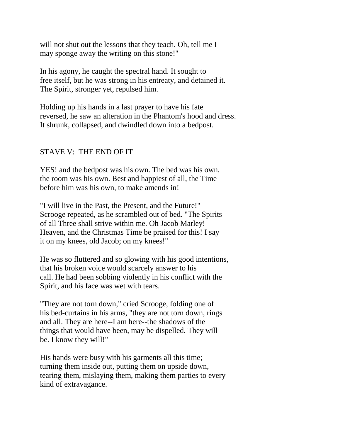will not shut out the lessons that they teach. Oh, tell me I may sponge away the writing on this stone!"

In his agony, he caught the spectral hand. It sought to free itself, but he was strong in his entreaty, and detained it. The Spirit, stronger yet, repulsed him.

Holding up his hands in a last prayer to have his fate reversed, he saw an alteration in the Phantom's hood and dress. It shrunk, collapsed, and dwindled down into a bedpost.

## STAVE V: THE END OF IT

YES! and the bedpost was his own. The bed was his own, the room was his own. Best and happiest of all, the Time before him was his own, to make amends in!

"I will live in the Past, the Present, and the Future!" Scrooge repeated, as he scrambled out of bed. "The Spirits of all Three shall strive within me. Oh Jacob Marley! Heaven, and the Christmas Time be praised for this! I say it on my knees, old Jacob; on my knees!"

He was so fluttered and so glowing with his good intentions, that his broken voice would scarcely answer to his call. He had been sobbing violently in his conflict with the Spirit, and his face was wet with tears.

"They are not torn down," cried Scrooge, folding one of his bed-curtains in his arms, "they are not torn down, rings and all. They are here--I am here--the shadows of the things that would have been, may be dispelled. They will be. I know they will!"

His hands were busy with his garments all this time; turning them inside out, putting them on upside down, tearing them, mislaying them, making them parties to every kind of extravagance.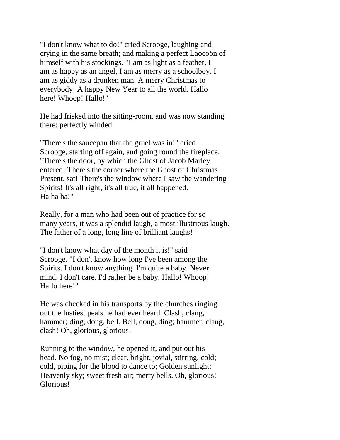"I don't know what to do!" cried Scrooge, laughing and crying in the same breath; and making a perfect Laocoön of himself with his stockings. "I am as light as a feather, I am as happy as an angel, I am as merry as a schoolboy. I am as giddy as a drunken man. A merry Christmas to everybody! A happy New Year to all the world. Hallo here! Whoop! Hallo!"

He had frisked into the sitting-room, and was now standing there: perfectly winded.

"There's the saucepan that the gruel was in!" cried Scrooge, starting off again, and going round the fireplace. "There's the door, by which the Ghost of Jacob Marley entered! There's the corner where the Ghost of Christmas Present, sat! There's the window where I saw the wandering Spirits! It's all right, it's all true, it all happened. Ha ha ha!"

Really, for a man who had been out of practice for so many years, it was a splendid laugh, a most illustrious laugh. The father of a long, long line of brilliant laughs!

"I don't know what day of the month it is!" said Scrooge. "I don't know how long I've been among the Spirits. I don't know anything. I'm quite a baby. Never mind. I don't care. I'd rather be a baby. Hallo! Whoop! Hallo here!"

He was checked in his transports by the churches ringing out the lustiest peals he had ever heard. Clash, clang, hammer; ding, dong, bell. Bell, dong, ding; hammer, clang, clash! Oh, glorious, glorious!

Running to the window, he opened it, and put out his head. No fog, no mist; clear, bright, jovial, stirring, cold; cold, piping for the blood to dance to; Golden sunlight; Heavenly sky; sweet fresh air; merry bells. Oh, glorious! Glorious!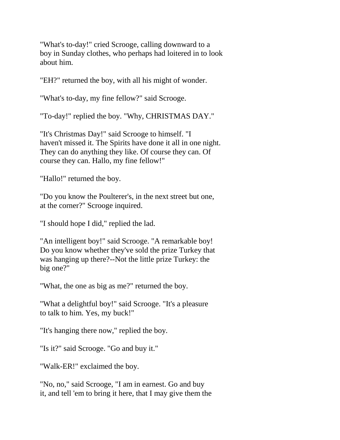"What's to-day!" cried Scrooge, calling downward to a boy in Sunday clothes, who perhaps had loitered in to look about him.

"EH?" returned the boy, with all his might of wonder.

"What's to-day, my fine fellow?" said Scrooge.

"To-day!" replied the boy. "Why, CHRISTMAS DAY."

"It's Christmas Day!" said Scrooge to himself. "I haven't missed it. The Spirits have done it all in one night. They can do anything they like. Of course they can. Of course they can. Hallo, my fine fellow!"

"Hallo!" returned the boy.

"Do you know the Poulterer's, in the next street but one, at the corner?" Scrooge inquired.

"I should hope I did," replied the lad.

"An intelligent boy!" said Scrooge. "A remarkable boy! Do you know whether they've sold the prize Turkey that was hanging up there?--Not the little prize Turkey: the big one?"

"What, the one as big as me?" returned the boy.

"What a delightful boy!" said Scrooge. "It's a pleasure to talk to him. Yes, my buck!"

"It's hanging there now," replied the boy.

"Is it?" said Scrooge. "Go and buy it."

"Walk-ER!" exclaimed the boy.

"No, no," said Scrooge, "I am in earnest. Go and buy it, and tell 'em to bring it here, that I may give them the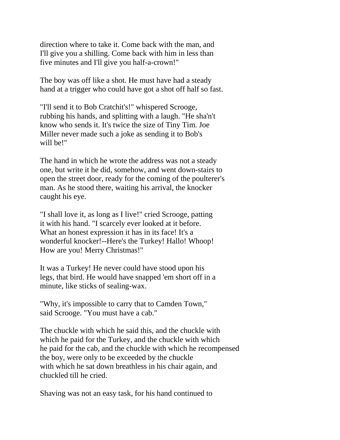direction where to take it. Come back with the man, and I'll give you a shilling. Come back with him in less than five minutes and I'll give you half-a-crown!"

The boy was off like a shot. He must have had a steady hand at a trigger who could have got a shot off half so fast.

"I'll send it to Bob Cratchit's!" whispered Scrooge, rubbing his hands, and splitting with a laugh. "He sha'n't know who sends it. It's twice the size of Tiny Tim. Joe Miller never made such a joke as sending it to Bob's will be!"

The hand in which he wrote the address was not a steady one, but write it he did, somehow, and went down-stairs to open the street door, ready for the coming of the poulterer's man. As he stood there, waiting his arrival, the knocker caught his eye.

"I shall love it, as long as I live!" cried Scrooge, patting it with his hand. "I scarcely ever looked at it before. What an honest expression it has in its face! It's a wonderful knocker!--Here's the Turkey! Hallo! Whoop! How are you! Merry Christmas!"

It was a Turkey! He never could have stood upon his legs, that bird. He would have snapped 'em short off in a minute, like sticks of sealing-wax.

"Why, it's impossible to carry that to Camden Town," said Scrooge. "You must have a cab."

The chuckle with which he said this, and the chuckle with which he paid for the Turkey, and the chuckle with which he paid for the cab, and the chuckle with which he recompensed the boy, were only to be exceeded by the chuckle with which he sat down breathless in his chair again, and chuckled till he cried.

Shaving was not an easy task, for his hand continued to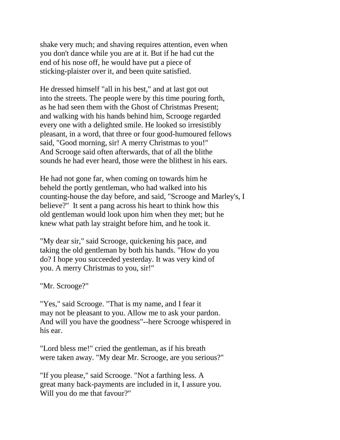shake very much; and shaving requires attention, even when you don't dance while you are at it. But if he had cut the end of his nose off, he would have put a piece of sticking-plaister over it, and been quite satisfied.

He dressed himself "all in his best," and at last got out into the streets. The people were by this time pouring forth, as he had seen them with the Ghost of Christmas Present; and walking with his hands behind him, Scrooge regarded every one with a delighted smile. He looked so irresistibly pleasant, in a word, that three or four good-humoured fellows said, "Good morning, sir! A merry Christmas to you!" And Scrooge said often afterwards, that of all the blithe sounds he had ever heard, those were the blithest in his ears.

He had not gone far, when coming on towards him he beheld the portly gentleman, who had walked into his counting-house the day before, and said, "Scrooge and Marley's, I believe?" It sent a pang across his heart to think how this old gentleman would look upon him when they met; but he knew what path lay straight before him, and he took it.

"My dear sir," said Scrooge, quickening his pace, and taking the old gentleman by both his hands. "How do you do? I hope you succeeded yesterday. It was very kind of you. A merry Christmas to you, sir!"

"Mr. Scrooge?"

"Yes," said Scrooge. "That is my name, and I fear it may not be pleasant to you. Allow me to ask your pardon. And will you have the goodness"--here Scrooge whispered in his ear.

"Lord bless me!" cried the gentleman, as if his breath were taken away. "My dear Mr. Scrooge, are you serious?"

"If you please," said Scrooge. "Not a farthing less. A great many back-payments are included in it, I assure you. Will you do me that favour?"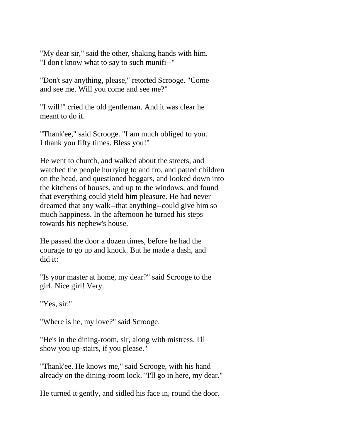"My dear sir," said the other, shaking hands with him. "I don't know what to say to such munifi--"

"Don't say anything, please," retorted Scrooge. "Come and see me. Will you come and see me?"

"I will!" cried the old gentleman. And it was clear he meant to do it.

"Thank'ee," said Scrooge. "I am much obliged to you. I thank you fifty times. Bless you!"

He went to church, and walked about the streets, and watched the people hurrying to and fro, and patted children on the head, and questioned beggars, and looked down into the kitchens of houses, and up to the windows, and found that everything could yield him pleasure. He had never dreamed that any walk--that anything--could give him so much happiness. In the afternoon he turned his steps towards his nephew's house.

He passed the door a dozen times, before he had the courage to go up and knock. But he made a dash, and did it:

"Is your master at home, my dear?" said Scrooge to the girl. Nice girl! Very.

"Yes, sir."

"Where is he, my love?" said Scrooge.

"He's in the dining-room, sir, along with mistress. I'll show you up-stairs, if you please."

"Thank'ee. He knows me," said Scrooge, with his hand already on the dining-room lock. "I'll go in here, my dear."

He turned it gently, and sidled his face in, round the door.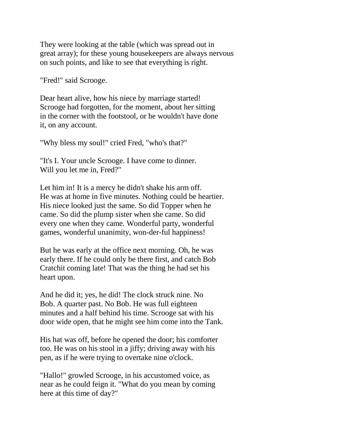They were looking at the table (which was spread out in great array); for these young housekeepers are always nervous on such points, and like to see that everything is right.

"Fred!" said Scrooge.

Dear heart alive, how his niece by marriage started! Scrooge had forgotten, for the moment, about her sitting in the corner with the footstool, or he wouldn't have done it, on any account.

"Why bless my soul!" cried Fred, "who's that?"

"It's I. Your uncle Scrooge. I have come to dinner. Will you let me in, Fred?"

Let him in! It is a mercy he didn't shake his arm off. He was at home in five minutes. Nothing could be heartier. His niece looked just the same. So did Topper when he came. So did the plump sister when she came. So did every one when they came. Wonderful party, wonderful games, wonderful unanimity, won-der-ful happiness!

But he was early at the office next morning. Oh, he was early there. If he could only be there first, and catch Bob Cratchit coming late! That was the thing he had set his heart upon.

And he did it; yes, he did! The clock struck nine. No Bob. A quarter past. No Bob. He was full eighteen minutes and a half behind his time. Scrooge sat with his door wide open, that he might see him come into the Tank.

His hat was off, before he opened the door; his comforter too. He was on his stool in a jiffy; driving away with his pen, as if he were trying to overtake nine o'clock.

"Hallo!" growled Scrooge, in his accustomed voice, as near as he could feign it. "What do you mean by coming here at this time of day?"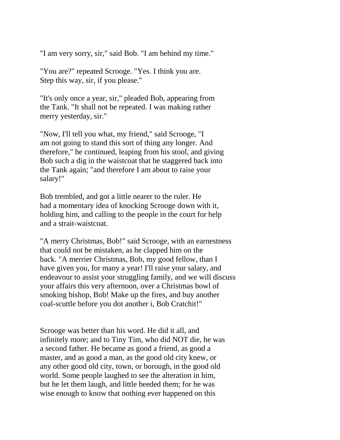"I am very sorry, sir," said Bob. "I am behind my time."

"You are?" repeated Scrooge. "Yes. I think you are. Step this way, sir, if you please."

"It's only once a year, sir," pleaded Bob, appearing from the Tank. "It shall not be repeated. I was making rather merry yesterday, sir."

"Now, I'll tell you what, my friend," said Scrooge, "I am not going to stand this sort of thing any longer. And therefore," he continued, leaping from his stool, and giving Bob such a dig in the waistcoat that he staggered back into the Tank again; "and therefore I am about to raise your salary!"

Bob trembled, and got a little nearer to the ruler. He had a momentary idea of knocking Scrooge down with it, holding him, and calling to the people in the court for help and a strait-waistcoat.

"A merry Christmas, Bob!" said Scrooge, with an earnestness that could not be mistaken, as he clapped him on the back. "A merrier Christmas, Bob, my good fellow, than I have given you, for many a year! I'll raise your salary, and endeavour to assist your struggling family, and we will discuss your affairs this very afternoon, over a Christmas bowl of smoking bishop, Bob! Make up the fires, and buy another coal-scuttle before you dot another i, Bob Cratchit!"

Scrooge was better than his word. He did it all, and infinitely more; and to Tiny Tim, who did NOT die, he was a second father. He became as good a friend, as good a master, and as good a man, as the good old city knew, or any other good old city, town, or borough, in the good old world. Some people laughed to see the alteration in him, but he let them laugh, and little heeded them; for he was wise enough to know that nothing ever happened on this